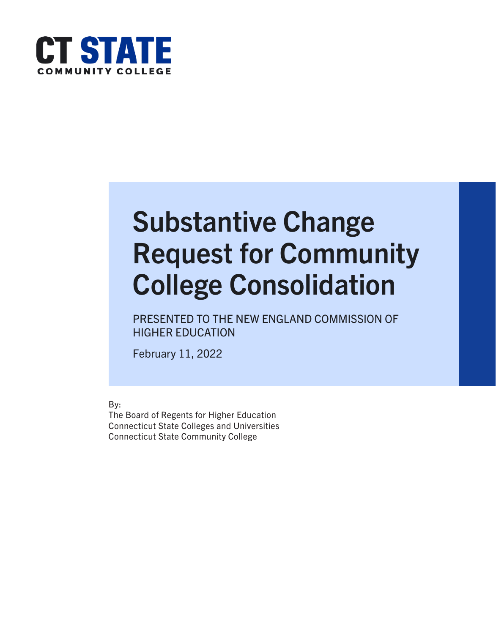

# Substantive Change Request for Community College Consolidation

PRESENTED TO THE NEW ENGLAND COMMISSION OF HIGHER EDUCATION

February 11, 2022

By:

The Board of Regents for Higher Education Connecticut State Colleges and Universities Connecticut State Community College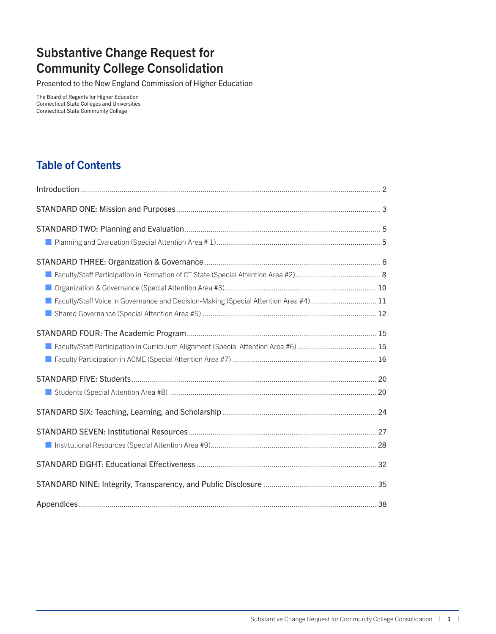## Substantive Change Request for Community College Consolidation

Presented to the New England Commission of Higher Education

The Board of Regents for Higher Education Connecticut State Colleges and Universities Connecticut State Community College

## Table of Contents

| ■ Faculty/Staff Voice in Governance and Decision-Making (Special Attention Area #4)11 |  |
|---------------------------------------------------------------------------------------|--|
|                                                                                       |  |
|                                                                                       |  |
|                                                                                       |  |
|                                                                                       |  |
|                                                                                       |  |
|                                                                                       |  |
|                                                                                       |  |
|                                                                                       |  |
|                                                                                       |  |
|                                                                                       |  |
|                                                                                       |  |
|                                                                                       |  |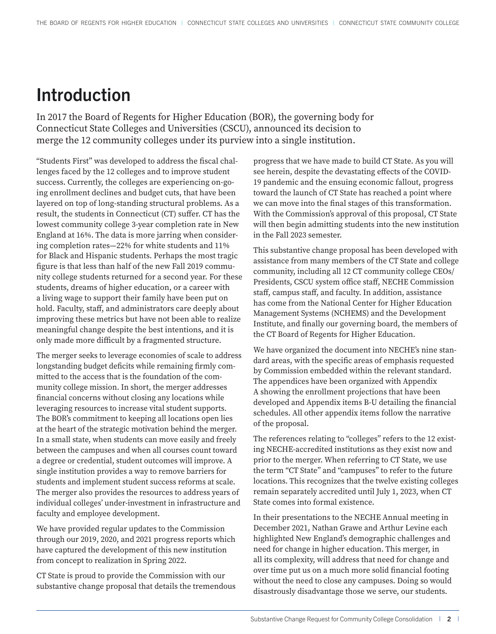## <span id="page-2-0"></span>Introduction

In 2017 the Board of Regents for Higher Education (BOR), the governing body for Connecticut State Colleges and Universities (CSCU), announced its decision to merge the 12 community colleges under its purview into a single institution.

"Students First" was developed to address the fiscal challenges faced by the 12 colleges and to improve student success. Currently, the colleges are experiencing on-going enrollment declines and budget cuts, that have been layered on top of long-standing structural problems. As a result, the students in Connecticut (CT) suffer. CT has the lowest community college 3-year completion rate in New England at 16%. The data is more jarring when considering completion rates—22% for white students and 11% for Black and Hispanic students. Perhaps the most tragic figure is that less than half of the new Fall 2019 community college students returned for a second year. For these students, dreams of higher education, or a career with a living wage to support their family have been put on hold. Faculty, staff, and administrators care deeply about improving these metrics but have not been able to realize meaningful change despite the best intentions, and it is only made more difficult by a fragmented structure.

The merger seeks to leverage economies of scale to address longstanding budget deficits while remaining firmly committed to the access that is the foundation of the community college mission. In short, the merger addresses financial concerns without closing any locations while leveraging resources to increase vital student supports. The BOR's commitment to keeping all locations open lies at the heart of the strategic motivation behind the merger. In a small state, when students can move easily and freely between the campuses and when all courses count toward a degree or credential, student outcomes will improve. A single institution provides a way to remove barriers for students and implement student success reforms at scale. The merger also provides the resources to address years of individual colleges' under-investment in infrastructure and faculty and employee development.

We have provided regular updates to the Commission through our 2019, 2020, and 2021 progress reports which have captured the development of this new institution from concept to realization in Spring 2022.

CT State is proud to provide the Commission with our substantive change proposal that details the tremendous progress that we have made to build CT State. As you will see herein, despite the devastating effects of the COVID-19 pandemic and the ensuing economic fallout, progress toward the launch of CT State has reached a point where we can move into the final stages of this transformation. With the Commission's approval of this proposal, CT State will then begin admitting students into the new institution in the Fall 2023 semester.

This substantive change proposal has been developed with assistance from many members of the CT State and college community, including all 12 CT community college CEOs/ Presidents, CSCU system office staff, NECHE Commission staff, campus staff, and faculty. In addition, assistance has come from the National Center for Higher Education Management Systems (NCHEMS) and the Development Institute, and finally our governing board, the members of the CT Board of Regents for Higher Education.

We have organized the document into NECHE's nine standard areas, with the specific areas of emphasis requested by Commission embedded within the relevant standard. The appendices have been organized with Appendix A showing the enrollment projections that have been developed and Appendix items B-U detailing the financial schedules. All other appendix items follow the narrative of the proposal.

The references relating to "colleges" refers to the 12 existing NECHE-accredited institutions as they exist now and prior to the merger. When referring to CT State, we use the term "CT State" and "campuses" to refer to the future locations. This recognizes that the twelve existing colleges remain separately accredited until July 1, 2023, when CT State comes into formal existence.

In their presentations to the NECHE Annual meeting in December 2021, Nathan Grawe and Arthur Levine each highlighted New England's demographic challenges and need for change in higher education. This merger, in all its complexity, will address that need for change and over time put us on a much more solid financial footing without the need to close any campuses. Doing so would disastrously disadvantage those we serve, our students.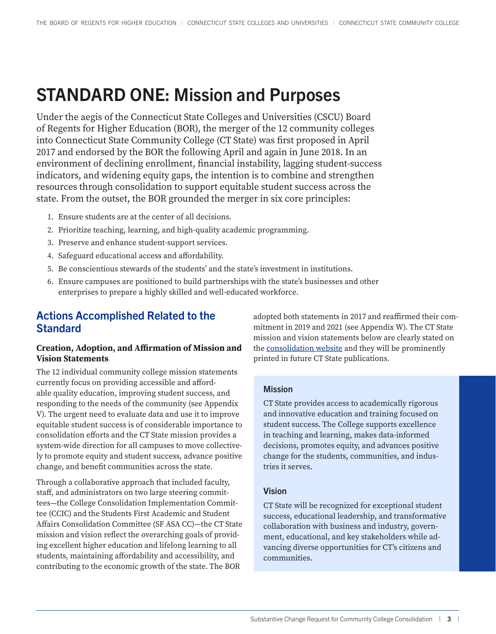## <span id="page-3-0"></span>STANDARD ONE: Mission and Purposes

Under the aegis of the Connecticut State Colleges and Universities (CSCU) Board of Regents for Higher Education (BOR), the merger of the 12 community colleges into Connecticut State Community College (CT State) was first proposed in April 2017 and endorsed by the BOR the following April and again in June 2018. In an environment of declining enrollment, financial instability, lagging student-success indicators, and widening equity gaps, the intention is to combine and strengthen resources through consolidation to support equitable student success across the state. From the outset, the BOR grounded the merger in six core principles:

- 1. Ensure students are at the center of all decisions.
- 2. Prioritize teaching, learning, and high-quality academic programming.
- 3. Preserve and enhance student-support services.
- 4. Safeguard educational access and affordability.
- 5. Be conscientious stewards of the students' and the state's investment in institutions.
- 6. Ensure campuses are positioned to build partnerships with the state's businesses and other enterprises to prepare a highly skilled and well-educated workforce.

## Actions Accomplished Related to the **Standard**

#### **Creation, Adoption, and Affirmation of Mission and Vision Statements**

The 12 individual community college mission statements currently focus on providing accessible and affordable quality education, improving student success, and responding to the needs of the community (see Appendix V). The urgent need to evaluate data and use it to improve equitable student success is of considerable importance to consolidation efforts and the CT State mission provides a system-wide direction for all campuses to move collectively to promote equity and student success, advance positive change, and benefit communities across the state.

Through a collaborative approach that included faculty, staff, and administrators on two large steering committees—the College Consolidation Implementation Committee (CCIC) and the Students First Academic and Student Affairs Consolidation Committee (SF ASA CC)—the CT State mission and vision reflect the overarching goals of providing excellent higher education and lifelong learning to all students, maintaining affordability and accessibility, and contributing to the economic growth of the state. The BOR

adopted both statements in 2017 and reaffirmed their commitment in 2019 and 2021 (see Appendix W). The CT State mission and vision statements below are clearly stated on the [consolidation website](https://www.ct.edu/sf) and they will be prominently printed in future CT State publications.

#### Mission

CT State provides access to academically rigorous and innovative education and training focused on student success. The College supports excellence in teaching and learning, makes data-informed decisions, promotes equity, and advances positive change for the students, communities, and industries it serves.

#### Vision

CT State will be recognized for exceptional student success, educational leadership, and transformative collaboration with business and industry, government, educational, and key stakeholders while advancing diverse opportunities for CT's citizens and communities.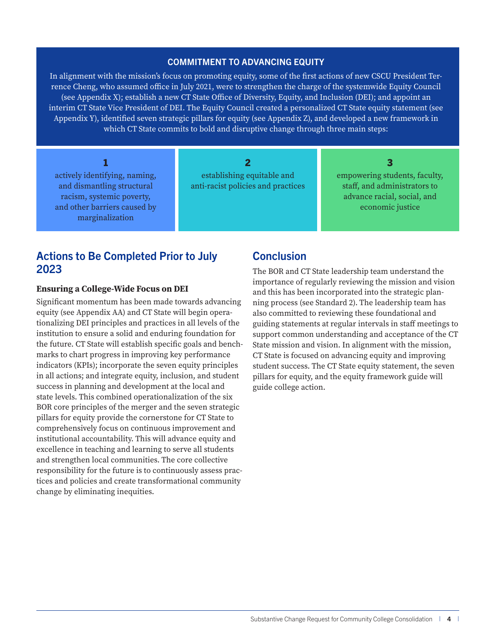#### COMMITMENT TO ADVANCING EQUITY

In alignment with the mission's focus on promoting equity, some of the first actions of new CSCU President Terrence Cheng, who assumed office in July 2021, were to strengthen the charge of the systemwide Equity Council (see Appendix X); establish a new CT State Office of Diversity, Equity, and Inclusion (DEI); and appoint an interim CT State Vice President of DEI. The Equity Council created a personalized CT State equity statement (see Appendix Y), identified seven strategic pillars for equity (see Appendix Z), and developed a new framework in which CT State commits to bold and disruptive change through three main steps:

| actively identifying, naming,<br>and dismantling structural<br>racism, systemic poverty,<br>and other barriers caused by<br>marginalization | establishing equitable and<br>anti-racist policies and practices | empowering students, faculty,<br>staff, and administrators to<br>advance racial, social, and<br>economic justice |
|---------------------------------------------------------------------------------------------------------------------------------------------|------------------------------------------------------------------|------------------------------------------------------------------------------------------------------------------|

## Actions to Be Completed Prior to July 2023

#### **Ensuring a College-Wide Focus on DEI**

Significant momentum has been made towards advancing equity (see Appendix AA) and CT State will begin operationalizing DEI principles and practices in all levels of the institution to ensure a solid and enduring foundation for the future. CT State will establish specific goals and benchmarks to chart progress in improving key performance indicators (KPIs); incorporate the seven equity principles in all actions; and integrate equity, inclusion, and student success in planning and development at the local and state levels. This combined operationalization of the six BOR core principles of the merger and the seven strategic pillars for equity provide the cornerstone for CT State to comprehensively focus on continuous improvement and institutional accountability. This will advance equity and excellence in teaching and learning to serve all students and strengthen local communities. The core collective responsibility for the future is to continuously assess practices and policies and create transformational community change by eliminating inequities.

### **Conclusion**

The BOR and CT State leadership team understand the importance of regularly reviewing the mission and vision and this has been incorporated into the strategic planning process (see Standard 2). The leadership team has also committed to reviewing these foundational and guiding statements at regular intervals in staff meetings to support common understanding and acceptance of the CT State mission and vision. In alignment with the mission, CT State is focused on advancing equity and improving student success. The CT State equity statement, the seven pillars for equity, and the equity framework guide will guide college action.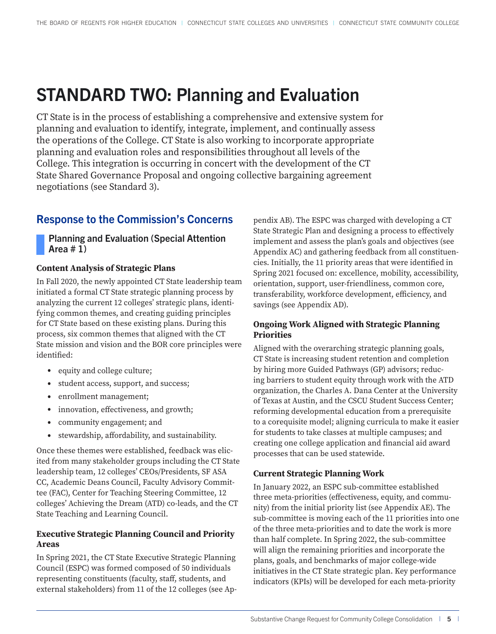## <span id="page-5-0"></span>STANDARD TWO: Planning and Evaluation

CT State is in the process of establishing a comprehensive and extensive system for planning and evaluation to identify, integrate, implement, and continually assess the operations of the College. CT State is also working to incorporate appropriate planning and evaluation roles and responsibilities throughout all levels of the College. This integration is occurring in concert with the development of the CT State Shared Governance Proposal and ongoing collective bargaining agreement negotiations (see Standard 3).

## Response to the Commission's Concerns

Planning and Evaluation (Special Attention Area  $# 1$ )

#### **Content Analysis of Strategic Plans**

In Fall 2020, the newly appointed CT State leadership team initiated a formal CT State strategic planning process by analyzing the current 12 colleges' strategic plans, identifying common themes, and creating guiding principles for CT State based on these existing plans. During this process, six common themes that aligned with the CT State mission and vision and the BOR core principles were identified:

- equity and college culture;
- student access, support, and success;
- enrollment management;
- innovation, effectiveness, and growth;
- community engagement; and
- stewardship, affordability, and sustainability.

Once these themes were established, feedback was elicited from many stakeholder groups including the CT State leadership team, 12 colleges' CEOs/Presidents, SF ASA CC, Academic Deans Council, Faculty Advisory Committee (FAC), Center for Teaching Steering Committee, 12 colleges' Achieving the Dream (ATD) co-leads, and the CT State Teaching and Learning Council.

#### **Executive Strategic Planning Council and Priority Areas**

In Spring 2021, the CT State Executive Strategic Planning Council (ESPC) was formed composed of 50 individuals representing constituents (faculty, staff, students, and external stakeholders) from 11 of the 12 colleges (see Appendix AB). The ESPC was charged with developing a CT State Strategic Plan and designing a process to effectively implement and assess the plan's goals and objectives (see Appendix AC) and gathering feedback from all constituencies. Initially, the 11 priority areas that were identified in Spring 2021 focused on: excellence, mobility, accessibility, orientation, support, user-friendliness, common core, transferability, workforce development, efficiency, and savings (see Appendix AD).

#### **Ongoing Work Aligned with Strategic Planning Priorities**

Aligned with the overarching strategic planning goals, CT State is increasing student retention and completion by hiring more Guided Pathways (GP) advisors; reducing barriers to student equity through work with the ATD organization, the Charles A. Dana Center at the University of Texas at Austin, and the CSCU Student Success Center; reforming developmental education from a prerequisite to a corequisite model; aligning curricula to make it easier for students to take classes at multiple campuses; and creating one college application and financial aid award processes that can be used statewide.

#### **Current Strategic Planning Work**

In January 2022, an ESPC sub-committee established three meta-priorities (effectiveness, equity, and community) from the initial priority list (see Appendix AE). The sub-committee is moving each of the 11 priorities into one of the three meta-priorities and to date the work is more than half complete. In Spring 2022, the sub-committee will align the remaining priorities and incorporate the plans, goals, and benchmarks of major college-wide initiatives in the CT State strategic plan. Key performance indicators (KPIs) will be developed for each meta-priority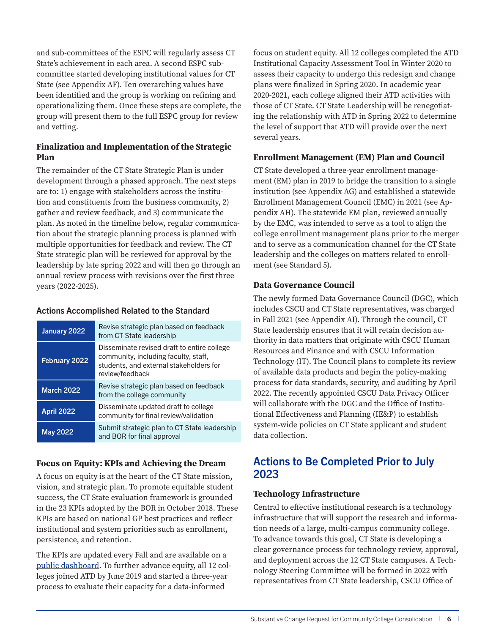and sub-committees of the ESPC will regularly assess CT State's achievement in each area. A second ESPC subcommittee started developing institutional values for CT State (see Appendix AF). Ten overarching values have been identified and the group is working on refining and operationalizing them. Once these steps are complete, the group will present them to the full ESPC group for review and vetting.

#### **Finalization and Implementation of the Strategic Plan**

The remainder of the CT State Strategic Plan is under development through a phased approach. The next steps are to: 1) engage with stakeholders across the institution and constituents from the business community, 2) gather and review feedback, and 3) communicate the plan. As noted in the timeline below, regular communication about the strategic planning process is planned with multiple opportunities for feedback and review. The CT State strategic plan will be reviewed for approval by the leadership by late spring 2022 and will then go through an annual review process with revisions over the first three years (2022-2025).

#### Actions Accomplished Related to the Standard

| January 2022      | Revise strategic plan based on feedback<br>from CT State leadership                                                                               |
|-------------------|---------------------------------------------------------------------------------------------------------------------------------------------------|
| February 2022     | Disseminate revised draft to entire college<br>community, including faculty, staff,<br>students, and external stakeholders for<br>review/feedback |
| <b>March 2022</b> | Revise strategic plan based on feedback<br>from the college community                                                                             |
| <b>April 2022</b> | Disseminate updated draft to college<br>community for final review/validation                                                                     |
| <b>May 2022</b>   | Submit strategic plan to CT State leadership<br>and BOR for final approval                                                                        |

#### **Focus on Equity: KPIs and Achieving the Dream**

A focus on equity is at the heart of the CT State mission, vision, and strategic plan. To promote equitable student success, the CT State evaluation framework is grounded in the 23 KPIs adopted by the BOR in October 2018. These KPIs are based on national GP best practices and reflect institutional and system priorities such as enrollment, persistence, and retention.

The KPIs are updated every Fall and are available on a [public dashboard](https://www.ct.edu/gp/kpi). To further advance equity, all 12 colleges joined ATD by June 2019 and started a three-year process to evaluate their capacity for a data-informed

focus on student equity. All 12 colleges completed the ATD Institutional Capacity Assessment Tool in Winter 2020 to assess their capacity to undergo this redesign and change plans were finalized in Spring 2020. In academic year 2020-2021, each college aligned their ATD activities with those of CT State. CT State Leadership will be renegotiating the relationship with ATD in Spring 2022 to determine the level of support that ATD will provide over the next several years.

#### **Enrollment Management (EM) Plan and Council**

CT State developed a three-year enrollment management (EM) plan in 2019 to bridge the transition to a single institution (see Appendix AG) and established a statewide Enrollment Management Council (EMC) in 2021 (see Appendix AH). The statewide EM plan, reviewed annually by the EMC, was intended to serve as a tool to align the college enrollment management plans prior to the merger and to serve as a communication channel for the CT State leadership and the colleges on matters related to enrollment (see Standard 5).

#### **Data Governance Council**

The newly formed Data Governance Council (DGC), which includes CSCU and CT State representatives, was charged in Fall 2021 (see Appendix AI). Through the council, CT State leadership ensures that it will retain decision authority in data matters that originate with CSCU Human Resources and Finance and with CSCU Information Technology (IT). The Council plans to complete its review of available data products and begin the policy-making process for data standards, security, and auditing by April 2022. The recently appointed CSCU Data Privacy Officer will collaborate with the DGC and the Office of Institutional Effectiveness and Planning (IE&P) to establish system-wide policies on CT State applicant and student data collection.

### Actions to Be Completed Prior to July 2023

#### **Technology Infrastructure**

Central to effective institutional research is a technology infrastructure that will support the research and information needs of a large, multi-campus community college. To advance towards this goal, CT State is developing a clear governance process for technology review, approval, and deployment across the 12 CT State campuses. A Technology Steering Committee will be formed in 2022 with representatives from CT State leadership, CSCU Office of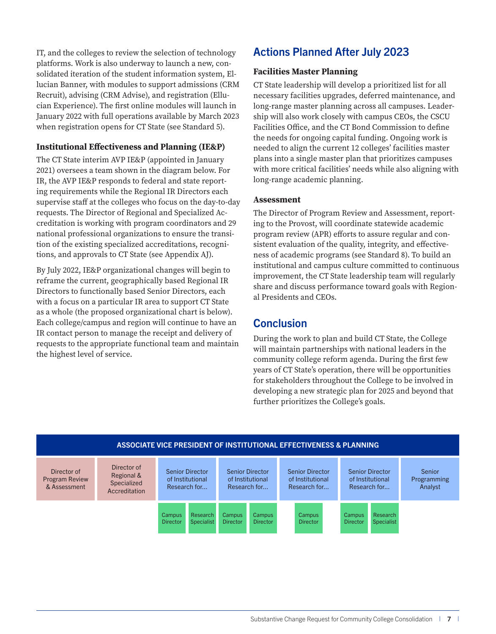IT, and the colleges to review the selection of technology platforms. Work is also underway to launch a new, consolidated iteration of the student information system, Ellucian Banner, with modules to support admissions (CRM Recruit), advising (CRM Advise), and registration (Ellucian Experience). The first online modules will launch in January 2022 with full operations available by March 2023 when registration opens for CT State (see Standard 5).

#### **Institutional Effectiveness and Planning (IE&P)**

The CT State interim AVP IE&P (appointed in January 2021) oversees a team shown in the diagram below. For IR, the AVP IE&P responds to federal and state reporting requirements while the Regional IR Directors each supervise staff at the colleges who focus on the day-to-day requests. The Director of Regional and Specialized Accreditation is working with program coordinators and 29 national professional organizations to ensure the transition of the existing specialized accreditations, recognitions, and approvals to CT State (see Appendix AJ).

By July 2022, IE&P organizational changes will begin to reframe the current, geographically based Regional IR Directors to functionally based Senior Directors, each with a focus on a particular IR area to support CT State as a whole (the proposed organizational chart is below). Each college/campus and region will continue to have an IR contact person to manage the receipt and delivery of requests to the appropriate functional team and maintain the highest level of service.

## Actions Planned After July 2023

#### **Facilities Master Planning**

CT State leadership will develop a prioritized list for all necessary facilities upgrades, deferred maintenance, and long-range master planning across all campuses. Leadership will also work closely with campus CEOs, the CSCU Facilities Office, and the CT Bond Commission to define the needs for ongoing capital funding. Ongoing work is needed to align the current 12 colleges' facilities master plans into a single master plan that prioritizes campuses with more critical facilities' needs while also aligning with long-range academic planning.

#### **Assessment**

The Director of Program Review and Assessment, reporting to the Provost, will coordinate statewide academic program review (APR) efforts to assure regular and consistent evaluation of the quality, integrity, and effectiveness of academic programs (see Standard 8). To build an institutional and campus culture committed to continuous improvement, the CT State leadership team will regularly share and discuss performance toward goals with Regional Presidents and CEOs.

## **Conclusion**

During the work to plan and build CT State, the College will maintain partnerships with national leaders in the community college reform agenda. During the first few years of CT State's operation, there will be opportunities for stakeholders throughout the College to be involved in developing a new strategic plan for 2025 and beyond that further prioritizes the College's goals.

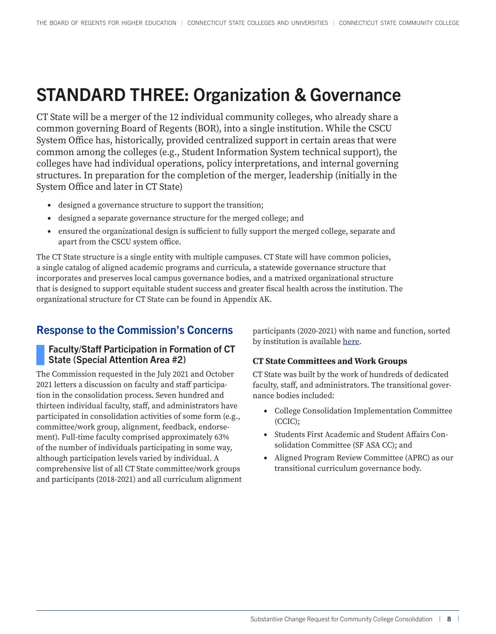## <span id="page-8-0"></span>STANDARD THREE: Organization & Governance

CT State will be a merger of the 12 individual community colleges, who already share a common governing Board of Regents (BOR), into a single institution. While the CSCU System Office has, historically, provided centralized support in certain areas that were common among the colleges (e.g., Student Information System technical support), the colleges have had individual operations, policy interpretations, and internal governing structures. In preparation for the completion of the merger, leadership (initially in the System Office and later in CT State)

- designed a governance structure to support the transition;
- designed a separate governance structure for the merged college; and
- ensured the organizational design is sufficient to fully support the merged college, separate and apart from the CSCU system office.

The CT State structure is a single entity with multiple campuses. CT State will have common policies, a single catalog of aligned academic programs and curricula, a statewide governance structure that incorporates and preserves local campus governance bodies, and a matrixed organizational structure that is designed to support equitable student success and greater fiscal health across the institution. The organizational structure for CT State can be found in Appendix AK.

## Response to the Commission's Concerns

#### Faculty/Staff Participation in Formation of CT State (Special Attention Area #2)

The Commission requested in the July 2021 and October 2021 letters a discussion on faculty and staff participation in the consolidation process. Seven hundred and thirteen individual faculty, staff, and administrators have participated in consolidation activities of some form (e.g., committee/work group, alignment, feedback, endorsement). Full-time faculty comprised approximately 63% of the number of individuals participating in some way, although participation levels varied by individual. A comprehensive list of all CT State committee/work groups and participants (2018-2021) and all curriculum alignment participants (2020-2021) with name and function, sorted by institution is available [here.](https://www.ct.edu/files/pdfs/CT-State-Workgroup-Participation-List.pdf)

#### **CT State Committees and Work Groups**

CT State was built by the work of hundreds of dedicated faculty, staff, and administrators. The transitional governance bodies included:

- College Consolidation Implementation Committee (CCIC);
- Students First Academic and Student Affairs Consolidation Committee (SF ASA CC); and
- Aligned Program Review Committee (APRC) as our transitional curriculum governance body.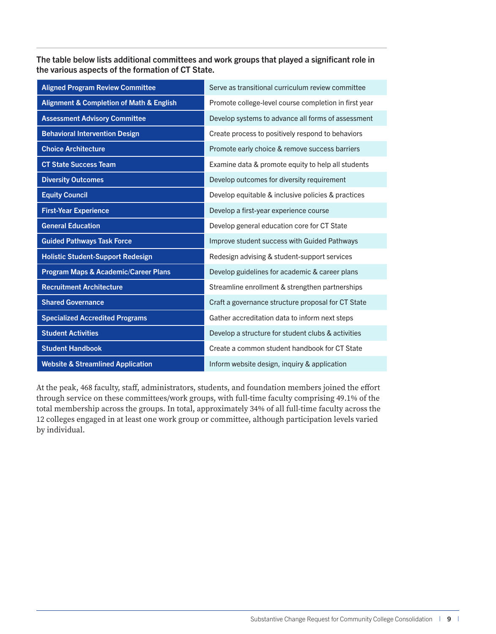The table below lists additional committees and work groups that played a significant role in the various aspects of the formation of CT State.

| <b>Aligned Program Review Committee</b>                 | Serve as transitional curriculum review committee     |
|---------------------------------------------------------|-------------------------------------------------------|
| <b>Alignment &amp; Completion of Math &amp; English</b> | Promote college-level course completion in first year |
| <b>Assessment Advisory Committee</b>                    | Develop systems to advance all forms of assessment    |
| <b>Behavioral Intervention Design</b>                   | Create process to positively respond to behaviors     |
| <b>Choice Architecture</b>                              | Promote early choice & remove success barriers        |
| <b>CT State Success Team</b>                            | Examine data & promote equity to help all students    |
| <b>Diversity Outcomes</b>                               | Develop outcomes for diversity requirement            |
| <b>Equity Council</b>                                   | Develop equitable & inclusive policies & practices    |
| <b>First-Year Experience</b>                            | Develop a first-year experience course                |
| <b>General Education</b>                                | Develop general education core for CT State           |
| <b>Guided Pathways Task Force</b>                       | Improve student success with Guided Pathways          |
| <b>Holistic Student-Support Redesign</b>                | Redesign advising & student-support services          |
| <b>Program Maps &amp; Academic/Career Plans</b>         | Develop guidelines for academic & career plans        |
| <b>Recruitment Architecture</b>                         | Streamline enrollment & strengthen partnerships       |
| <b>Shared Governance</b>                                | Craft a governance structure proposal for CT State    |
| <b>Specialized Accredited Programs</b>                  | Gather accreditation data to inform next steps        |
| <b>Student Activities</b>                               | Develop a structure for student clubs & activities    |
| <b>Student Handbook</b>                                 | Create a common student handbook for CT State         |
| <b>Website &amp; Streamlined Application</b>            | Inform website design, inquiry & application          |

At the peak, 468 faculty, staff, administrators, students, and foundation members joined the effort through service on these committees/work groups, with full-time faculty comprising 49.1% of the total membership across the groups. In total, approximately 34% of all full-time faculty across the 12 colleges engaged in at least one work group or committee, although participation levels varied by individual.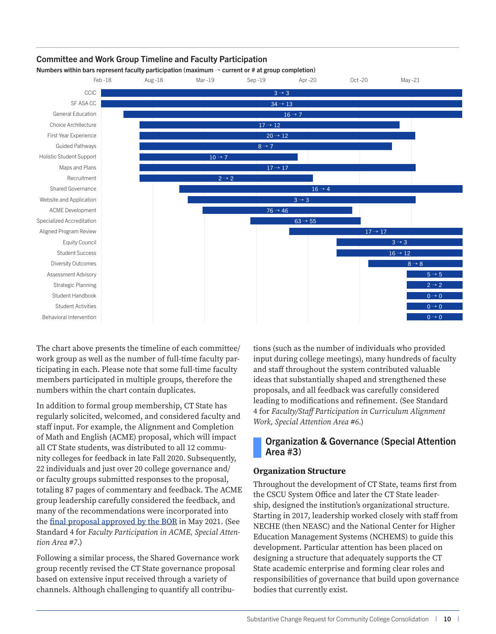#### <span id="page-10-0"></span>Committee and Work Group Timeline and Faculty Participation

Numbers within bars represent faculty participation (maximum  $\rightarrow$  current or # at group completion)



The chart above presents the timeline of each committee/ work group as well as the number of full-time faculty participating in each. Please note that some full-time faculty members participated in multiple groups, therefore the numbers within the chart contain duplicates.

In addition to formal group membership, CT State has regularly solicited, welcomed, and considered faculty and staff input. For example, the Alignment and Completion of Math and English (ACME) proposal, which will impact all CT State students, was distributed to all 12 community colleges for feedback in late Fall 2020. Subsequently, 22 individuals and just over 20 college governance and/ or faculty groups submitted responses to the proposal, totaling 87 pages of commentary and feedback. The ACME group leadership carefully considered the feedback, and many of the recommendations were incorporated into the [final proposal approved by the BOR](https://www.ct.edu/acme) in May 2021. (See Standard 4 for *Faculty Participation in ACME, Special Attention Area #7*.)

Following a similar process, the Shared Governance work group recently revised the CT State governance proposal based on extensive input received through a variety of channels. Although challenging to quantify all contributions (such as the number of individuals who provided input during college meetings), many hundreds of faculty and staff throughout the system contributed valuable ideas that substantially shaped and strengthened these proposals, and all feedback was carefully considered leading to modifications and refinement. (See Standard 4 for *Faculty/Staff Participation in Curriculum Alignment Work, Special Attention Area #6*.)

#### Organization & Governance (Special Attention Area #3)

#### **Organization Structure**

Throughout the development of CT State, teams first from the CSCU System Office and later the CT State leadership, designed the institution's organizational structure. Starting in 2017, leadership worked closely with staff from NECHE (then NEASC) and the National Center for Higher Education Management Systems (NCHEMS) to guide this development. Particular attention has been placed on designing a structure that adequately supports the CT State academic enterprise and forming clear roles and responsibilities of governance that build upon governance bodies that currently exist.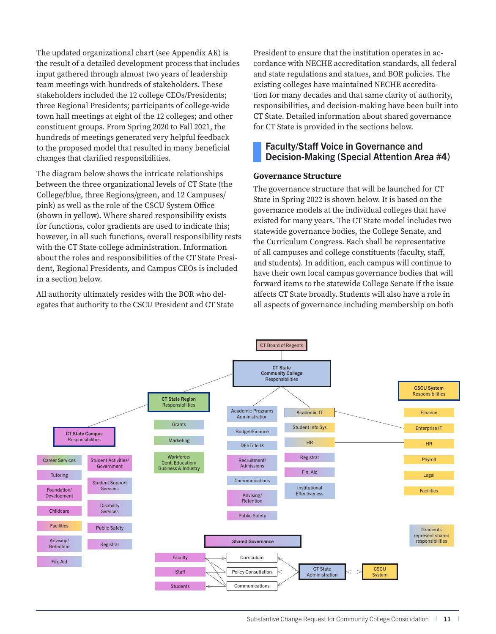<span id="page-11-0"></span>The updated organizational chart (see Appendix AK) is the result of a detailed development process that includes input gathered through almost two years of leadership team meetings with hundreds of stakeholders. These stakeholders included the 12 college CEOs/Presidents; three Regional Presidents; participants of college-wide town hall meetings at eight of the 12 colleges; and other constituent groups. From Spring 2020 to Fall 2021, the hundreds of meetings generated very helpful feedback to the proposed model that resulted in many beneficial changes that clarified responsibilities.

The diagram below shows the intricate relationships between the three organizational levels of CT State (the College/blue, three Regions/green, and 12 Campuses/ pink) as well as the role of the CSCU System Office (shown in yellow). Where shared responsibility exists for functions, color gradients are used to indicate this; however, in all such functions, overall responsibility rests with the CT State college administration. Information about the roles and responsibilities of the CT State President, Regional Presidents, and Campus CEOs is included in a section below.

All authority ultimately resides with the BOR who delegates that authority to the CSCU President and CT State President to ensure that the institution operates in accordance with NECHE accreditation standards, all federal and state regulations and statues, and BOR policies. The existing colleges have maintained NECHE accreditation for many decades and that same clarity of authority, responsibilities, and decision-making have been built into CT State. Detailed information about shared governance for CT State is provided in the sections below.

#### Faculty/Staff Voice in Governance and Decision-Making (Special Attention Area #4)

#### **Governance Structure**

The governance structure that will be launched for CT State in Spring 2022 is shown below. It is based on the governance models at the individual colleges that have existed for many years. The CT State model includes two statewide governance bodies, the College Senate, and the Curriculum Congress. Each shall be representative of all campuses and college constituents (faculty, staff, and students). In addition, each campus will continue to have their own local campus governance bodies that will forward items to the statewide College Senate if the issue affects CT State broadly. Students will also have a role in all aspects of governance including membership on both

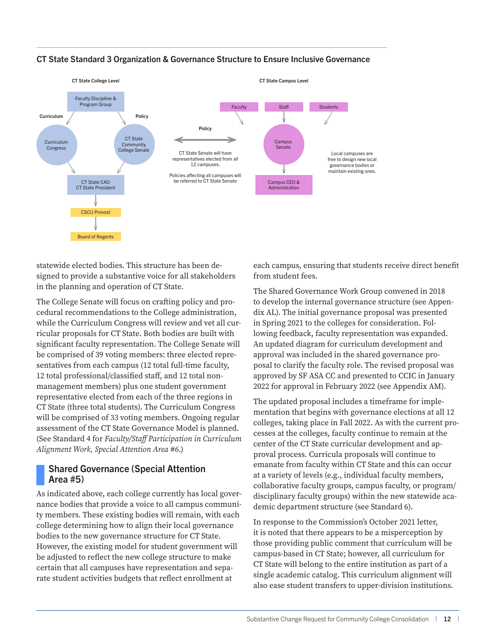

#### <span id="page-12-0"></span>CT State Standard 3 Organization & Governance Structure to Ensure Inclusive Governance

statewide elected bodies. This structure has been designed to provide a substantive voice for all stakeholders in the planning and operation of CT State.

The College Senate will focus on crafting policy and procedural recommendations to the College administration, while the Curriculum Congress will review and vet all curricular proposals for CT State. Both bodies are built with significant faculty representation. The College Senate will be comprised of 39 voting members: three elected representatives from each campus (12 total full-time faculty, 12 total professional/classified staff, and 12 total nonmanagement members) plus one student government representative elected from each of the three regions in CT State (three total students). The Curriculum Congress will be comprised of 33 voting members. Ongoing regular assessment of the CT State Governance Model is planned. (See Standard 4 for *Faculty/Staff Participation in Curriculum Alignment Work, Special Attention Area #6*.)

#### Shared Governance (Special Attention Area #5)

As indicated above, each college currently has local governance bodies that provide a voice to all campus community members. These existing bodies will remain, with each college determining how to align their local governance bodies to the new governance structure for CT State. However, the existing model for student government will be adjusted to reflect the new college structure to make certain that all campuses have representation and separate student activities budgets that reflect enrollment at

each campus, ensuring that students receive direct benefit from student fees.

The Shared Governance Work Group convened in 2018 to develop the internal governance structure (see Appendix AL). The initial governance proposal was presented in Spring 2021 to the colleges for consideration. Following feedback, faculty representation was expanded. An updated diagram for curriculum development and approval was included in the shared governance proposal to clarify the faculty role. The revised proposal was approved by SF ASA CC and presented to CCIC in January 2022 for approval in February 2022 (see Appendix AM).

The updated proposal includes a timeframe for implementation that begins with governance elections at all 12 colleges, taking place in Fall 2022. As with the current processes at the colleges, faculty continue to remain at the center of the CT State curricular development and approval process. Curricula proposals will continue to emanate from faculty within CT State and this can occur at a variety of levels (e.g., individual faculty members, collaborative faculty groups, campus faculty, or program/ disciplinary faculty groups) within the new statewide academic department structure (see Standard 6).

In response to the Commission's October 2021 letter, it is noted that there appears to be a misperception by those providing public comment that curriculum will be campus-based in CT State; however, all curriculum for CT State will belong to the entire institution as part of a single academic catalog. This curriculum alignment will also ease student transfers to upper-division institutions.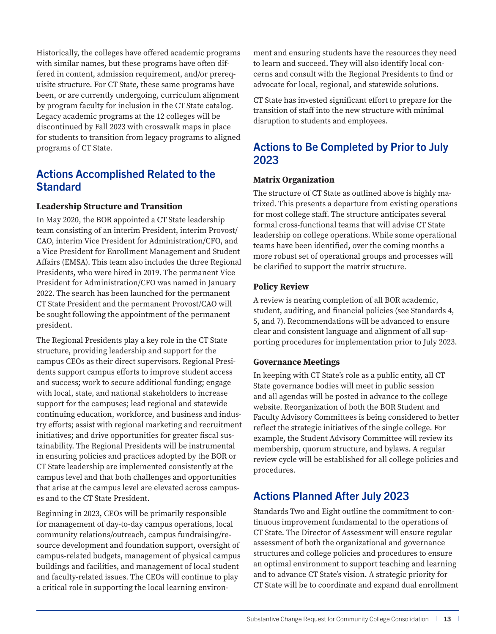Historically, the colleges have offered academic programs with similar names, but these programs have often differed in content, admission requirement, and/or prerequisite structure. For CT State, these same programs have been, or are currently undergoing, curriculum alignment by program faculty for inclusion in the CT State catalog. Legacy academic programs at the 12 colleges will be discontinued by Fall 2023 with crosswalk maps in place for students to transition from legacy programs to aligned programs of CT State.

### Actions Accomplished Related to the **Standard**

#### **Leadership Structure and Transition**

In May 2020, the BOR appointed a CT State leadership team consisting of an interim President, interim Provost/ CAO, interim Vice President for Administration/CFO, and a Vice President for Enrollment Management and Student Affairs (EMSA). This team also includes the three Regional Presidents, who were hired in 2019. The permanent Vice President for Administration/CFO was named in January 2022. The search has been launched for the permanent CT State President and the permanent Provost/CAO will be sought following the appointment of the permanent president.

The Regional Presidents play a key role in the CT State structure, providing leadership and support for the campus CEOs as their direct supervisors. Regional Presidents support campus efforts to improve student access and success; work to secure additional funding; engage with local, state, and national stakeholders to increase support for the campuses; lead regional and statewide continuing education, workforce, and business and industry efforts; assist with regional marketing and recruitment initiatives; and drive opportunities for greater fiscal sustainability. The Regional Presidents will be instrumental in ensuring policies and practices adopted by the BOR or CT State leadership are implemented consistently at the campus level and that both challenges and opportunities that arise at the campus level are elevated across campuses and to the CT State President.

Beginning in 2023, CEOs will be primarily responsible for management of day-to-day campus operations, local community relations/outreach, campus fundraising/resource development and foundation support, oversight of campus-related budgets, management of physical campus buildings and facilities, and management of local student and faculty-related issues. The CEOs will continue to play a critical role in supporting the local learning environment and ensuring students have the resources they need to learn and succeed. They will also identify local concerns and consult with the Regional Presidents to find or advocate for local, regional, and statewide solutions.

CT State has invested significant effort to prepare for the transition of staff into the new structure with minimal disruption to students and employees.

## Actions to Be Completed by Prior to July 2023

#### **Matrix Organization**

The structure of CT State as outlined above is highly matrixed. This presents a departure from existing operations for most college staff. The structure anticipates several formal cross-functional teams that will advise CT State leadership on college operations. While some operational teams have been identified, over the coming months a more robust set of operational groups and processes will be clarified to support the matrix structure.

#### **Policy Review**

A review is nearing completion of all BOR academic, student, auditing, and financial policies (see Standards 4, 5, and 7). Recommendations will be advanced to ensure clear and consistent language and alignment of all supporting procedures for implementation prior to July 2023.

#### **Governance Meetings**

In keeping with CT State's role as a public entity, all CT State governance bodies will meet in public session and all agendas will be posted in advance to the college website. Reorganization of both the BOR Student and Faculty Advisory Committees is being considered to better reflect the strategic initiatives of the single college. For example, the Student Advisory Committee will review its membership, quorum structure, and bylaws. A regular review cycle will be established for all college policies and procedures.

## Actions Planned After July 2023

Standards Two and Eight outline the commitment to continuous improvement fundamental to the operations of CT State. The Director of Assessment will ensure regular assessment of both the organizational and governance structures and college policies and procedures to ensure an optimal environment to support teaching and learning and to advance CT State's vision. A strategic priority for CT State will be to coordinate and expand dual enrollment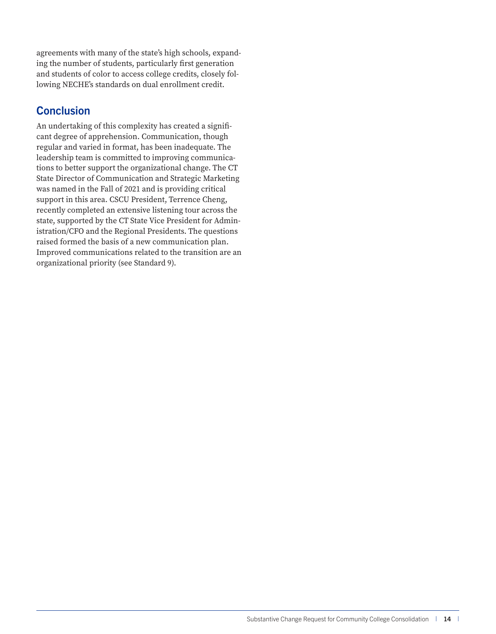agreements with many of the state's high schools, expanding the number of students, particularly first generation and students of color to access college credits, closely following NECHE's standards on dual enrollment credit.

### **Conclusion**

An undertaking of this complexity has created a significant degree of apprehension. Communication, though regular and varied in format, has been inadequate. The leadership team is committed to improving communications to better support the organizational change. The CT State Director of Communication and Strategic Marketing was named in the Fall of 2021 and is providing critical support in this area. CSCU President, Terrence Cheng, recently completed an extensive listening tour across the state, supported by the CT State Vice President for Administration/CFO and the Regional Presidents. The questions raised formed the basis of a new communication plan. Improved communications related to the transition are an organizational priority (see Standard 9).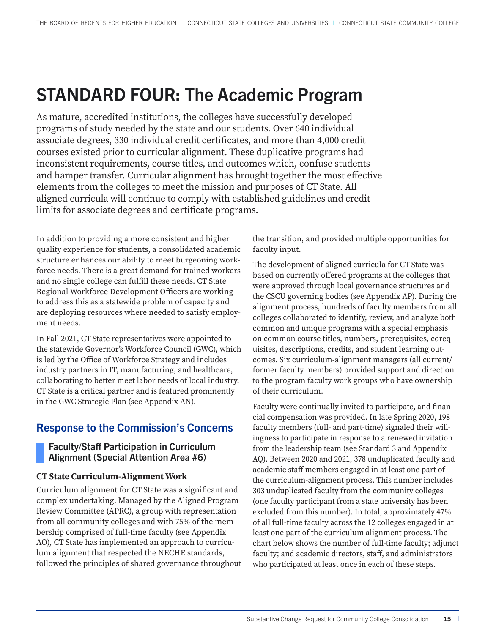## <span id="page-15-0"></span>STANDARD FOUR: The Academic Program

As mature, accredited institutions, the colleges have successfully developed programs of study needed by the state and our students. Over 640 individual associate degrees, 330 individual credit certificates, and more than 4,000 credit courses existed prior to curricular alignment. These duplicative programs had inconsistent requirements, course titles, and outcomes which, confuse students and hamper transfer. Curricular alignment has brought together the most effective elements from the colleges to meet the mission and purposes of CT State. All aligned curricula will continue to comply with established guidelines and credit limits for associate degrees and certificate programs.

In addition to providing a more consistent and higher quality experience for students, a consolidated academic structure enhances our ability to meet burgeoning workforce needs. There is a great demand for trained workers and no single college can fulfill these needs. CT State Regional Workforce Development Officers are working to address this as a statewide problem of capacity and are deploying resources where needed to satisfy employment needs.

In Fall 2021, CT State representatives were appointed to the statewide Governor's Workforce Council (GWC), which is led by the Office of Workforce Strategy and includes industry partners in IT, manufacturing, and healthcare, collaborating to better meet labor needs of local industry. CT State is a critical partner and is featured prominently in the GWC Strategic Plan (see Appendix AN).

## Response to the Commission's Concerns

#### Faculty/Staff Participation in Curriculum Alignment (Special Attention Area #6)

#### **CT State Curriculum-Alignment Work**

Curriculum alignment for CT State was a significant and complex undertaking. Managed by the Aligned Program Review Committee (APRC), a group with representation from all community colleges and with 75% of the membership comprised of full-time faculty (see Appendix AO), CT State has implemented an approach to curriculum alignment that respected the NECHE standards, followed the principles of shared governance throughout the transition, and provided multiple opportunities for faculty input.

The development of aligned curricula for CT State was based on currently offered programs at the colleges that were approved through local governance structures and the CSCU governing bodies (see Appendix AP). During the alignment process, hundreds of faculty members from all colleges collaborated to identify, review, and analyze both common and unique programs with a special emphasis on common course titles, numbers, prerequisites, corequisites, descriptions, credits, and student learning outcomes. Six curriculum-alignment managers (all current/ former faculty members) provided support and direction to the program faculty work groups who have ownership of their curriculum.

Faculty were continually invited to participate, and financial compensation was provided. In late Spring 2020, 198 faculty members (full- and part-time) signaled their willingness to participate in response to a renewed invitation from the leadership team (see Standard 3 and Appendix AQ). Between 2020 and 2021, 378 unduplicated faculty and academic staff members engaged in at least one part of the curriculum-alignment process. This number includes 303 unduplicated faculty from the community colleges (one faculty participant from a state university has been excluded from this number). In total, approximately 47% of all full-time faculty across the 12 colleges engaged in at least one part of the curriculum alignment process. The chart below shows the number of full-time faculty; adjunct faculty; and academic directors, staff, and administrators who participated at least once in each of these steps.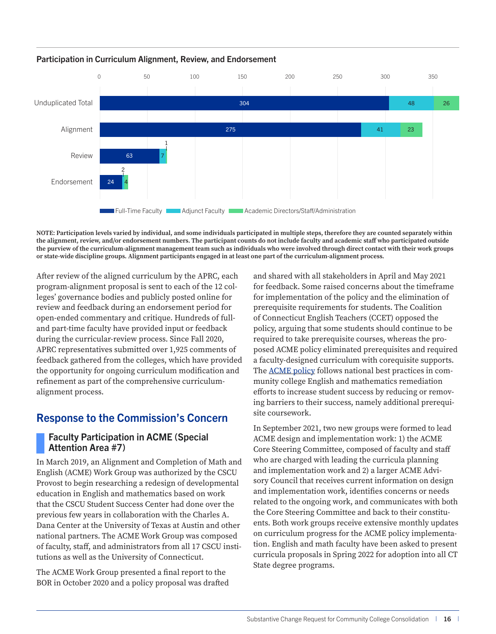

#### <span id="page-16-0"></span>Participation in Curriculum Alignment, Review, and Endorsement

**NOTE: Participation levels varied by individual, and some individuals participated in multiple steps, therefore they are counted separately within the alignment, review, and/or endorsement numbers. The participant counts do not include faculty and academic staff who participated outside the purview of the curriculum-alignment management team such as individuals who were involved through direct contact with their work groups or state-wide discipline groups. Alignment participants engaged in at least one part of the curriculum-alignment process.**

After review of the aligned curriculum by the APRC, each program-alignment proposal is sent to each of the 12 colleges' governance bodies and publicly posted online for review and feedback during an endorsement period for open-ended commentary and critique. Hundreds of fulland part-time faculty have provided input or feedback during the curricular-review process. Since Fall 2020, APRC representatives submitted over 1,925 comments of feedback gathered from the colleges, which have provided the opportunity for ongoing curriculum modification and refinement as part of the comprehensive curriculumalignment process.

## Response to the Commission's Concern

#### Faculty Participation in ACME (Special Attention Area #7)

In March 2019, an Alignment and Completion of Math and English (ACME) Work Group was authorized by the CSCU Provost to begin researching a redesign of developmental education in English and mathematics based on work that the CSCU Student Success Center had done over the previous few years in collaboration with the Charles A. Dana Center at the University of Texas at Austin and other national partners. The ACME Work Group was composed of faculty, staff, and administrators from all 17 CSCU institutions as well as the University of Connecticut.

The ACME Work Group presented a final report to the BOR in October 2020 and a policy proposal was drafted and shared with all stakeholders in April and May 2021 for feedback. Some raised concerns about the timeframe for implementation of the policy and the elimination of prerequisite requirements for students. The Coalition of Connecticut English Teachers (CCET) opposed the policy, arguing that some students should continue to be required to take prerequisite courses, whereas the proposed ACME policy eliminated prerequisites and required a faculty-designed curriculum with corequisite supports. The [ACME policy](https://www.ct.edu/acme) follows national best practices in community college English and mathematics remediation efforts to increase student success by reducing or removing barriers to their success, namely additional prerequisite coursework.

In September 2021, two new groups were formed to lead ACME design and implementation work: 1) the ACME Core Steering Committee, composed of faculty and staff who are charged with leading the curricula planning and implementation work and 2) a larger ACME Advisory Council that receives current information on design and implementation work, identifies concerns or needs related to the ongoing work, and communicates with both the Core Steering Committee and back to their constituents. Both work groups receive extensive monthly updates on curriculum progress for the ACME policy implementation. English and math faculty have been asked to present curricula proposals in Spring 2022 for adoption into all CT State degree programs.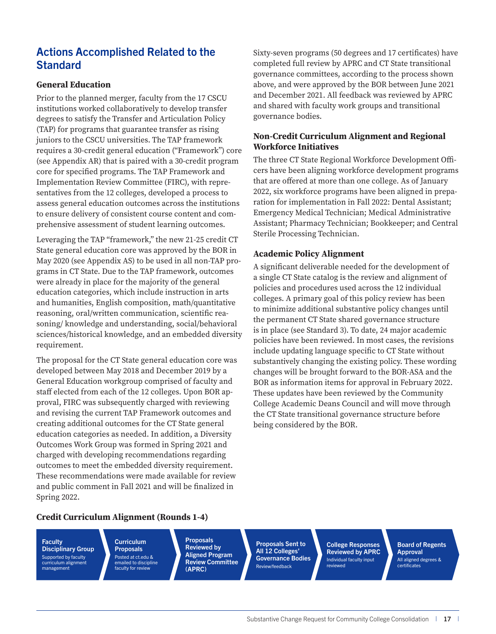## Actions Accomplished Related to the **Standard**

#### **General Education**

Prior to the planned merger, faculty from the 17 CSCU institutions worked collaboratively to develop transfer degrees to satisfy the Transfer and Articulation Policy (TAP) for programs that guarantee transfer as rising juniors to the CSCU universities. The TAP framework requires a 30-credit general education ("Framework") core (see Appendix AR) that is paired with a 30-credit program core for specified programs. The TAP Framework and Implementation Review Committee (FIRC), with representatives from the 12 colleges, developed a process to assess general education outcomes across the institutions to ensure delivery of consistent course content and comprehensive assessment of student learning outcomes.

Leveraging the TAP "framework," the new 21-25 credit CT State general education core was approved by the BOR in May 2020 (see Appendix AS) to be used in all non-TAP programs in CT State. Due to the TAP framework, outcomes were already in place for the majority of the general education categories, which include instruction in arts and humanities, English composition, math/quantitative reasoning, oral/written communication, scientific reasoning/ knowledge and understanding, social/behavioral sciences/historical knowledge, and an embedded diversity requirement.

The proposal for the CT State general education core was developed between May 2018 and December 2019 by a General Education workgroup comprised of faculty and staff elected from each of the 12 colleges. Upon BOR approval, FIRC was subsequently charged with reviewing and revising the current TAP Framework outcomes and creating additional outcomes for the CT State general education categories as needed. In addition, a Diversity Outcomes Work Group was formed in Spring 2021 and charged with developing recommendations regarding outcomes to meet the embedded diversity requirement. These recommendations were made available for review and public comment in Fall 2021 and will be finalized in Spring 2022.

Sixty-seven programs (50 degrees and 17 certificates) have completed full review by APRC and CT State transitional governance committees, according to the process shown above, and were approved by the BOR between June 2021 and December 2021. All feedback was reviewed by APRC and shared with faculty work groups and transitional governance bodies.

#### **Non-Credit Curriculum Alignment and Regional Workforce Initiatives**

The three CT State Regional Workforce Development Officers have been aligning workforce development programs that are offered at more than one college. As of January 2022, six workforce programs have been aligned in preparation for implementation in Fall 2022: Dental Assistant; Emergency Medical Technician; Medical Administrative Assistant; Pharmacy Technician; Bookkeeper; and Central Sterile Processing Technician.

#### **Academic Policy Alignment**

A significant deliverable needed for the development of a single CT State catalog is the review and alignment of policies and procedures used across the 12 individual colleges. A primary goal of this policy review has been to minimize additional substantive policy changes until the permanent CT State shared governance structure is in place (see Standard 3). To date, 24 major academic policies have been reviewed. In most cases, the revisions include updating language specific to CT State without substantively changing the existing policy. These wording changes will be brought forward to the BOR-ASA and the BOR as information items for approval in February 2022. These updates have been reviewed by the Community College Academic Deans Council and will move through the CT State transitional governance structure before being considered by the BOR.

#### **Credit Curriculum Alignment (Rounds 1-4)**

**Faculty** Disciplinary Group Supported by faculty curriculum alignment management

Curriculum **Proposals** Posted at ct.edu & emailed to discipline faculty for review

Proposals Reviewed by Aligned Program Review Committee (APRC)

Proposals Sent to All 12 Colleges' Governance Bodies Review/feedback

College Responses Reviewed by APRC Individual faculty input reviewed

Board of Regents **Approval** All aligned degrees & certificates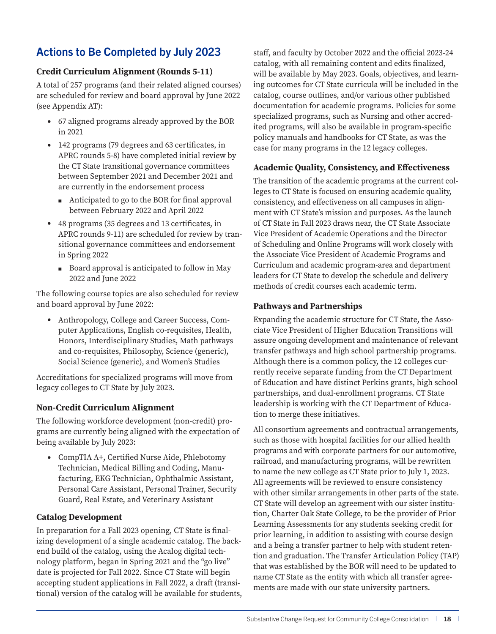## Actions to Be Completed by July 2023

#### **Credit Curriculum Alignment (Rounds 5-11)**

A total of 257 programs (and their related aligned courses) are scheduled for review and board approval by June 2022 (see Appendix AT):

- 67 aligned programs already approved by the BOR in 2021
- 142 programs (79 degrees and 63 certificates, in APRC rounds 5-8) have completed initial review by the CT State transitional governance committees between September 2021 and December 2021 and are currently in the endorsement process
	- Anticipated to go to the BOR for final approval between February 2022 and April 2022
- 48 programs (35 degrees and 13 certificates, in APRC rounds 9-11) are scheduled for review by transitional governance committees and endorsement in Spring 2022
	- Board approval is anticipated to follow in May 2022 and June 2022

The following course topics are also scheduled for review and board approval by June 2022:

• Anthropology, College and Career Success, Computer Applications, English co-requisites, Health, Honors, Interdisciplinary Studies, Math pathways and co-requisites, Philosophy, Science (generic), Social Science (generic), and Women's Studies

Accreditations for specialized programs will move from legacy colleges to CT State by July 2023.

#### **Non-Credit Curriculum Alignment**

The following workforce development (non-credit) programs are currently being aligned with the expectation of being available by July 2023:

• CompTIA A+, Certified Nurse Aide, Phlebotomy Technician, Medical Billing and Coding, Manufacturing, EKG Technician, Ophthalmic Assistant, Personal Care Assistant, Personal Trainer, Security Guard, Real Estate, and Veterinary Assistant

#### **Catalog Development**

In preparation for a Fall 2023 opening, CT State is finalizing development of a single academic catalog. The backend build of the catalog, using the Acalog digital technology platform, began in Spring 2021 and the "go live" date is projected for Fall 2022. Since CT State will begin accepting student applications in Fall 2022, a draft (transitional) version of the catalog will be available for students, staff, and faculty by October 2022 and the official 2023-24 catalog, with all remaining content and edits finalized, will be available by May 2023. Goals, objectives, and learning outcomes for CT State curricula will be included in the catalog, course outlines, and/or various other published documentation for academic programs. Policies for some specialized programs, such as Nursing and other accredited programs, will also be available in program-specific policy manuals and handbooks for CT State, as was the case for many programs in the 12 legacy colleges.

#### **Academic Quality, Consistency, and Effectiveness**

The transition of the academic programs at the current colleges to CT State is focused on ensuring academic quality, consistency, and effectiveness on all campuses in alignment with CT State's mission and purposes. As the launch of CT State in Fall 2023 draws near, the CT State Associate Vice President of Academic Operations and the Director of Scheduling and Online Programs will work closely with the Associate Vice President of Academic Programs and Curriculum and academic program-area and department leaders for CT State to develop the schedule and delivery methods of credit courses each academic term.

#### **Pathways and Partnerships**

Expanding the academic structure for CT State, the Associate Vice President of Higher Education Transitions will assure ongoing development and maintenance of relevant transfer pathways and high school partnership programs. Although there is a common policy, the 12 colleges currently receive separate funding from the CT Department of Education and have distinct Perkins grants, high school partnerships, and dual-enrollment programs. CT State leadership is working with the CT Department of Education to merge these initiatives.

All consortium agreements and contractual arrangements, such as those with hospital facilities for our allied health programs and with corporate partners for our automotive, railroad, and manufacturing programs, will be rewritten to name the new college as CT State prior to July 1, 2023. All agreements will be reviewed to ensure consistency with other similar arrangements in other parts of the state. CT State will develop an agreement with our sister institution, Charter Oak State College, to be the provider of Prior Learning Assessments for any students seeking credit for prior learning, in addition to assisting with course design and a being a transfer partner to help with student retention and graduation. The Transfer Articulation Policy (TAP) that was established by the BOR will need to be updated to name CT State as the entity with which all transfer agreements are made with our state university partners.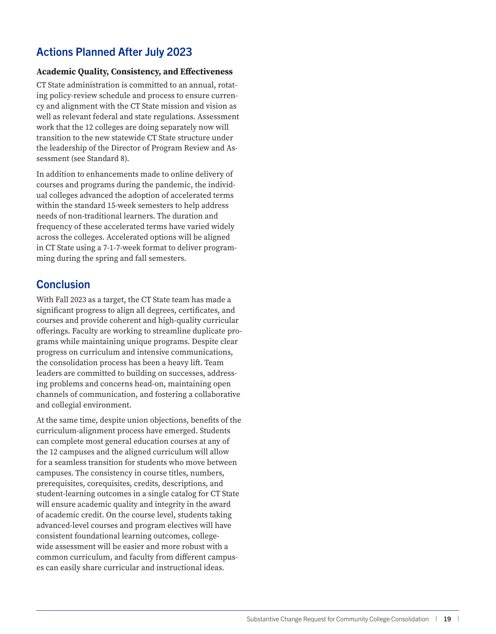## Actions Planned After July 2023

#### **Academic Quality, Consistency, and Effectiveness**

CT State administration is committed to an annual, rotating policy-review schedule and process to ensure currency and alignment with the CT State mission and vision as well as relevant federal and state regulations. Assessment work that the 12 colleges are doing separately now will transition to the new statewide CT State structure under the leadership of the Director of Program Review and Assessment (see Standard 8).

In addition to enhancements made to online delivery of courses and programs during the pandemic, the individual colleges advanced the adoption of accelerated terms within the standard 15-week semesters to help address needs of non-traditional learners. The duration and frequency of these accelerated terms have varied widely across the colleges. Accelerated options will be aligned in CT State using a 7-1-7-week format to deliver programming during the spring and fall semesters.

### **Conclusion**

With Fall 2023 as a target, the CT State team has made a significant progress to align all degrees, certificates, and courses and provide coherent and high-quality curricular offerings. Faculty are working to streamline duplicate programs while maintaining unique programs. Despite clear progress on curriculum and intensive communications, the consolidation process has been a heavy lift. Team leaders are committed to building on successes, addressing problems and concerns head-on, maintaining open channels of communication, and fostering a collaborative and collegial environment.

At the same time, despite union objections, benefits of the curriculum-alignment process have emerged. Students can complete most general education courses at any of the 12 campuses and the aligned curriculum will allow for a seamless transition for students who move between campuses. The consistency in course titles, numbers, prerequisites, corequisites, credits, descriptions, and student-learning outcomes in a single catalog for CT State will ensure academic quality and integrity in the award of academic credit. On the course level, students taking advanced-level courses and program electives will have consistent foundational learning outcomes, collegewide assessment will be easier and more robust with a common curriculum, and faculty from different campuses can easily share curricular and instructional ideas.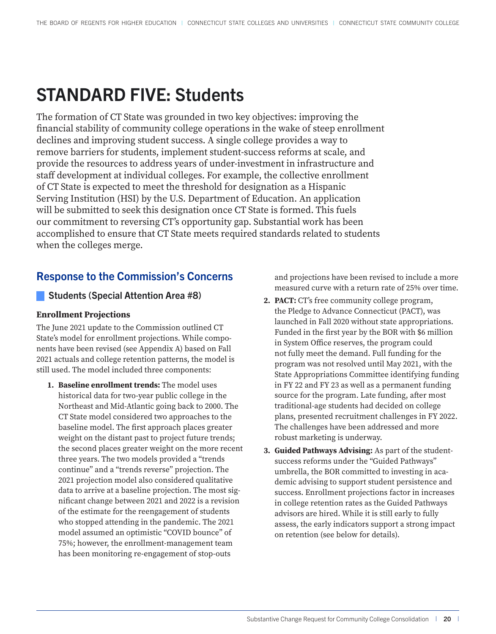## <span id="page-20-0"></span>STANDARD FIVE: Students

The formation of CT State was grounded in two key objectives: improving the financial stability of community college operations in the wake of steep enrollment declines and improving student success. A single college provides a way to remove barriers for students, implement student-success reforms at scale, and provide the resources to address years of under-investment in infrastructure and staff development at individual colleges. For example, the collective enrollment of CT State is expected to meet the threshold for designation as a Hispanic Serving Institution (HSI) by the U.S. Department of Education. An application will be submitted to seek this designation once CT State is formed. This fuels our commitment to reversing CT's opportunity gap. Substantial work has been accomplished to ensure that CT State meets required standards related to students when the colleges merge.

## Response to the Commission's Concerns

#### Students (Special Attention Area #8)

#### **Enrollment Projections**

The June 2021 update to the Commission outlined CT State's model for enrollment projections. While components have been revised (see Appendix A) based on Fall 2021 actuals and college retention patterns, the model is still used. The model included three components:

**1. Baseline enrollment trends:** The model uses historical data for two-year public college in the Northeast and Mid-Atlantic going back to 2000. The CT State model considered two approaches to the baseline model. The first approach places greater weight on the distant past to project future trends; the second places greater weight on the more recent three years. The two models provided a "trends continue" and a "trends reverse" projection. The 2021 projection model also considered qualitative data to arrive at a baseline projection. The most significant change between 2021 and 2022 is a revision of the estimate for the reengagement of students who stopped attending in the pandemic. The 2021 model assumed an optimistic "COVID bounce" of 75%; however, the enrollment-management team has been monitoring re-engagement of stop-outs

and projections have been revised to include a more measured curve with a return rate of 25% over time.

- **2. PACT:** CT's free community college program, the Pledge to Advance Connecticut (PACT), was launched in Fall 2020 without state appropriations. Funded in the first year by the BOR with \$6 million in System Office reserves, the program could not fully meet the demand. Full funding for the program was not resolved until May 2021, with the State Appropriations Committee identifying funding in FY 22 and FY 23 as well as a permanent funding source for the program. Late funding, after most traditional-age students had decided on college plans, presented recruitment challenges in FY 2022. The challenges have been addressed and more robust marketing is underway.
- **3. Guided Pathways Advising:** As part of the studentsuccess reforms under the "Guided Pathways" umbrella, the BOR committed to investing in academic advising to support student persistence and success. Enrollment projections factor in increases in college retention rates as the Guided Pathways advisors are hired. While it is still early to fully assess, the early indicators support a strong impact on retention (see below for details).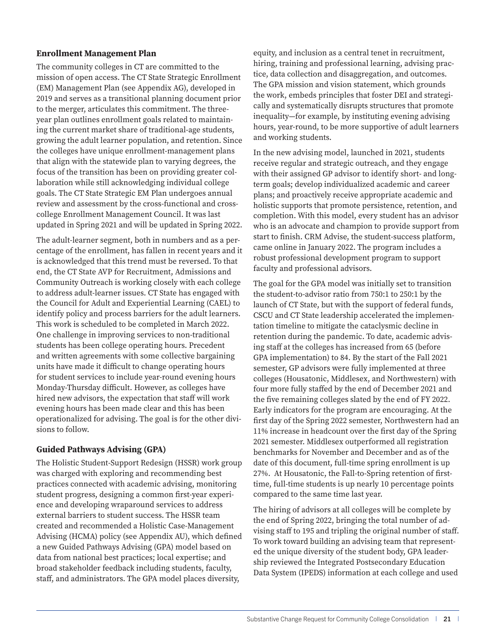#### **Enrollment Management Plan**

The community colleges in CT are committed to the mission of open access. The CT State Strategic Enrollment (EM) Management Plan (see Appendix AG), developed in 2019 and serves as a transitional planning document prior to the merger, articulates this commitment. The threeyear plan outlines enrollment goals related to maintaining the current market share of traditional-age students, growing the adult learner population, and retention. Since the colleges have unique enrollment-management plans that align with the statewide plan to varying degrees, the focus of the transition has been on providing greater collaboration while still acknowledging individual college goals. The CT State Strategic EM Plan undergoes annual review and assessment by the cross-functional and crosscollege Enrollment Management Council. It was last updated in Spring 2021 and will be updated in Spring 2022.

The adult-learner segment, both in numbers and as a percentage of the enrollment, has fallen in recent years and it is acknowledged that this trend must be reversed. To that end, the CT State AVP for Recruitment, Admissions and Community Outreach is working closely with each college to address adult-learner issues. CT State has engaged with the Council for Adult and Experiential Learning (CAEL) to identify policy and process barriers for the adult learners. This work is scheduled to be completed in March 2022. One challenge in improving services to non-traditional students has been college operating hours. Precedent and written agreements with some collective bargaining units have made it difficult to change operating hours for student services to include year-round evening hours Monday-Thursday difficult. However, as colleges have hired new advisors, the expectation that staff will work evening hours has been made clear and this has been operationalized for advising. The goal is for the other divisions to follow.

#### **Guided Pathways Advising (GPA)**

The Holistic Student-Support Redesign (HSSR) work group was charged with exploring and recommending best practices connected with academic advising, monitoring student progress, designing a common first-year experience and developing wraparound services to address external barriers to student success. The HSSR team created and recommended a Holistic Case-Management Advising (HCMA) policy (see Appendix AU), which defined a new Guided Pathways Advising (GPA) model based on data from national best practices; local expertise; and broad stakeholder feedback including students, faculty, staff, and administrators. The GPA model places diversity,

equity, and inclusion as a central tenet in recruitment, hiring, training and professional learning, advising practice, data collection and disaggregation, and outcomes. The GPA mission and vision statement, which grounds the work, embeds principles that foster DEI and strategically and systematically disrupts structures that promote inequality—for example, by instituting evening advising hours, year-round, to be more supportive of adult learners and working students.

In the new advising model, launched in 2021, students receive regular and strategic outreach, and they engage with their assigned GP advisor to identify short- and longterm goals; develop individualized academic and career plans; and proactively receive appropriate academic and holistic supports that promote persistence, retention, and completion. With this model, every student has an advisor who is an advocate and champion to provide support from start to finish. CRM Advise, the student-success platform, came online in January 2022. The program includes a robust professional development program to support faculty and professional advisors.

The goal for the GPA model was initially set to transition the student-to-advisor ratio from 750:1 to 250:1 by the launch of CT State, but with the support of federal funds, CSCU and CT State leadership accelerated the implementation timeline to mitigate the cataclysmic decline in retention during the pandemic. To date, academic advising staff at the colleges has increased from 65 (before GPA implementation) to 84. By the start of the Fall 2021 semester, GP advisors were fully implemented at three colleges (Housatonic, Middlesex, and Northwestern) with four more fully staffed by the end of December 2021 and the five remaining colleges slated by the end of FY 2022. Early indicators for the program are encouraging. At the first day of the Spring 2022 semester, Northwestern had an 11% increase in headcount over the first day of the Spring 2021 semester. Middlesex outperformed all registration benchmarks for November and December and as of the date of this document, full-time spring enrollment is up 27%. At Housatonic, the Fall-to-Spring retention of firsttime, full-time students is up nearly 10 percentage points compared to the same time last year.

The hiring of advisors at all colleges will be complete by the end of Spring 2022, bringing the total number of advising staff to 195 and tripling the original number of staff. To work toward building an advising team that represented the unique diversity of the student body, GPA leadership reviewed the Integrated Postsecondary Education Data System (IPEDS) information at each college and used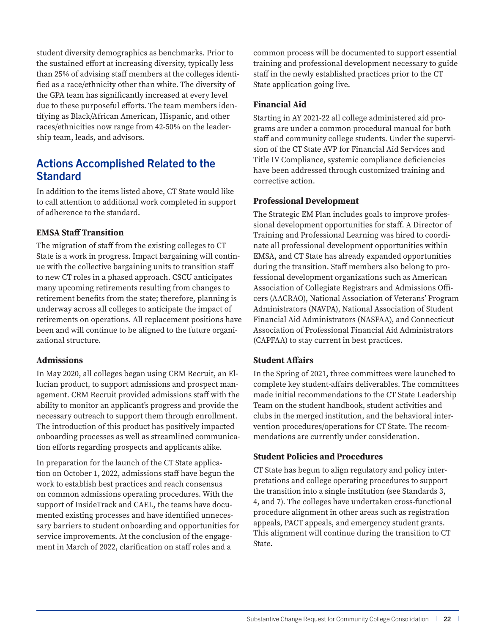student diversity demographics as benchmarks. Prior to the sustained effort at increasing diversity, typically less than 25% of advising staff members at the colleges identified as a race/ethnicity other than white. The diversity of the GPA team has significantly increased at every level due to these purposeful efforts. The team members identifying as Black/African American, Hispanic, and other races/ethnicities now range from 42-50% on the leadership team, leads, and advisors.

### Actions Accomplished Related to the **Standard**

In addition to the items listed above, CT State would like to call attention to additional work completed in support of adherence to the standard.

#### **EMSA Staff Transition**

The migration of staff from the existing colleges to CT State is a work in progress. Impact bargaining will continue with the collective bargaining units to transition staff to new CT roles in a phased approach. CSCU anticipates many upcoming retirements resulting from changes to retirement benefits from the state; therefore, planning is underway across all colleges to anticipate the impact of retirements on operations. All replacement positions have been and will continue to be aligned to the future organizational structure.

#### **Admissions**

In May 2020, all colleges began using CRM Recruit, an Ellucian product, to support admissions and prospect management. CRM Recruit provided admissions staff with the ability to monitor an applicant's progress and provide the necessary outreach to support them through enrollment. The introduction of this product has positively impacted onboarding processes as well as streamlined communication efforts regarding prospects and applicants alike.

In preparation for the launch of the CT State application on October 1, 2022, admissions staff have begun the work to establish best practices and reach consensus on common admissions operating procedures. With the support of InsideTrack and CAEL, the teams have documented existing processes and have identified unnecessary barriers to student onboarding and opportunities for service improvements. At the conclusion of the engagement in March of 2022, clarification on staff roles and a

common process will be documented to support essential training and professional development necessary to guide staff in the newly established practices prior to the CT State application going live.

#### **Financial Aid**

Starting in AY 2021-22 all college administered aid programs are under a common procedural manual for both staff and community college students. Under the supervision of the CT State AVP for Financial Aid Services and Title IV Compliance, systemic compliance deficiencies have been addressed through customized training and corrective action.

#### **Professional Development**

The Strategic EM Plan includes goals to improve professional development opportunities for staff. A Director of Training and Professional Learning was hired to coordinate all professional development opportunities within EMSA, and CT State has already expanded opportunities during the transition. Staff members also belong to professional development organizations such as American Association of Collegiate Registrars and Admissions Officers (AACRAO), National Association of Veterans' Program Administrators (NAVPA), National Association of Student Financial Aid Administrators (NASFAA), and Connecticut Association of Professional Financial Aid Administrators (CAPFAA) to stay current in best practices.

#### **Student Affairs**

In the Spring of 2021, three committees were launched to complete key student-affairs deliverables. The committees made initial recommendations to the CT State Leadership Team on the student handbook, student activities and clubs in the merged institution, and the behavioral intervention procedures/operations for CT State. The recommendations are currently under consideration.

#### **Student Policies and Procedures**

CT State has begun to align regulatory and policy interpretations and college operating procedures to support the transition into a single institution (see Standards 3, 4, and 7). The colleges have undertaken cross-functional procedure alignment in other areas such as registration appeals, PACT appeals, and emergency student grants. This alignment will continue during the transition to CT State.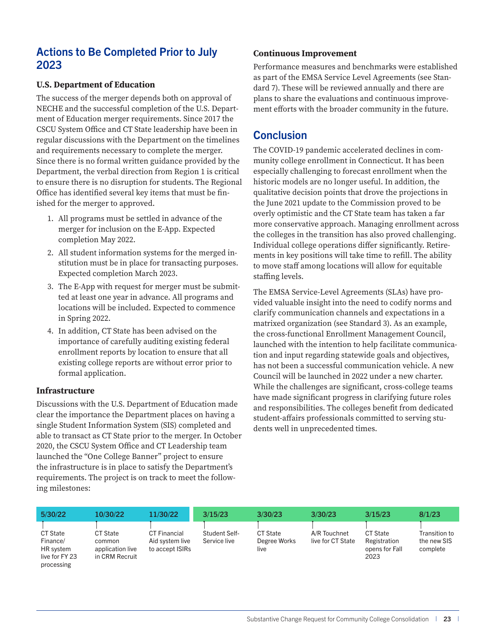## Actions to Be Completed Prior to July 2023

#### **U.S. Department of Education**

The success of the merger depends both on approval of NECHE and the successful completion of the U.S. Department of Education merger requirements. Since 2017 the CSCU System Office and CT State leadership have been in regular discussions with the Department on the timelines and requirements necessary to complete the merger. Since there is no formal written guidance provided by the Department, the verbal direction from Region 1 is critical to ensure there is no disruption for students. The Regional Office has identified several key items that must be finished for the merger to approved.

- 1. All programs must be settled in advance of the merger for inclusion on the E-App. Expected completion May 2022.
- 2. All student information systems for the merged institution must be in place for transacting purposes. Expected completion March 2023.
- 3. The E-App with request for merger must be submitted at least one year in advance. All programs and locations will be included. Expected to commence in Spring 2022.
- 4. In addition, CT State has been advised on the importance of carefully auditing existing federal enrollment reports by location to ensure that all existing college reports are without error prior to formal application.

#### **Infrastructure**

Discussions with the U.S. Department of Education made clear the importance the Department places on having a single Student Information System (SIS) completed and able to transact as CT State prior to the merger. In October 2020, the CSCU System Office and CT Leadership team launched the "One College Banner" project to ensure the infrastructure is in place to satisfy the Department's requirements. The project is on track to meet the following milestones:

#### **Continuous Improvement**

Performance measures and benchmarks were established as part of the EMSA Service Level Agreements (see Standard 7). These will be reviewed annually and there are plans to share the evaluations and continuous improvement efforts with the broader community in the future.

### Conclusion

The COVID-19 pandemic accelerated declines in community college enrollment in Connecticut. It has been especially challenging to forecast enrollment when the historic models are no longer useful. In addition, the qualitative decision points that drove the projections in the June 2021 update to the Commission proved to be overly optimistic and the CT State team has taken a far more conservative approach. Managing enrollment across the colleges in the transition has also proved challenging. Individual college operations differ significantly. Retirements in key positions will take time to refill. The ability to move staff among locations will allow for equitable staffing levels.

The EMSA Service-Level Agreements (SLAs) have provided valuable insight into the need to codify norms and clarify communication channels and expectations in a matrixed organization (see Standard 3). As an example, the cross-functional Enrollment Management Council, launched with the intention to help facilitate communication and input regarding statewide goals and objectives, has not been a successful communication vehicle. A new Council will be launched in 2022 under a new charter. While the challenges are significant, cross-college teams have made significant progress in clarifying future roles and responsibilities. The colleges benefit from dedicated student-affairs professionals committed to serving students well in unprecedented times.

| 5/30/22                                                                  | 10/30/22                                                        | 11/30/22                                                  | 3/15/23                              | 3/30/23                          | 3/30/23                           | 3/15/23                                            | 8/1/23                                   |
|--------------------------------------------------------------------------|-----------------------------------------------------------------|-----------------------------------------------------------|--------------------------------------|----------------------------------|-----------------------------------|----------------------------------------------------|------------------------------------------|
| <b>CT State</b><br>Finance/<br>HR system<br>live for FY 23<br>processing | <b>CT State</b><br>common<br>application live<br>in CRM Recruit | <b>CT Financial</b><br>Aid system live<br>to accept ISIRs | <b>Student Self-</b><br>Service live | CT State<br>Degree Works<br>live | A/R Touchnet<br>live for CT State | CT State<br>Registration<br>opens for Fall<br>2023 | Transition to<br>the new SIS<br>complete |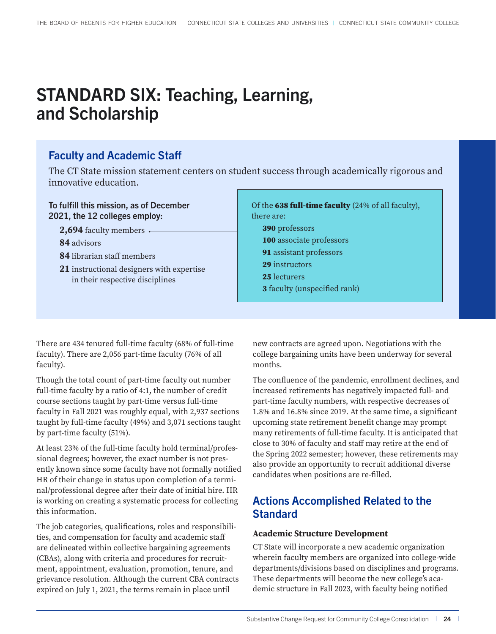## <span id="page-24-0"></span>STANDARD SIX: Teaching, Learning, and Scholarship

## Faculty and Academic Staff

The CT State mission statement centers on student success through academically rigorous and innovative education.

#### To fulfill this mission, as of December 2021, the 12 colleges employ:

2,694 faculty members .

**84** advisors

- **84** librarian staff members
- **21** instructional designers with expertise in their respective disciplines

| Of the 638 full-time faculty (24% of all faculty), |
|----------------------------------------------------|
| there are:                                         |
| 390 professors                                     |
| 100 associate professors                           |
| 91 assistant professors                            |
| 29 instructors                                     |
| 25 lecturers                                       |
| <b>3</b> faculty (unspecified rank)                |
|                                                    |

There are 434 tenured full-time faculty (68% of full-time faculty). There are 2,056 part-time faculty (76% of all faculty).

Though the total count of part-time faculty out number full-time faculty by a ratio of 4:1, the number of credit course sections taught by part-time versus full-time faculty in Fall 2021 was roughly equal, with 2,937 sections taught by full-time faculty (49%) and 3,071 sections taught by part-time faculty (51%).

At least 23% of the full-time faculty hold terminal/professional degrees; however, the exact number is not presently known since some faculty have not formally notified HR of their change in status upon completion of a terminal/professional degree after their date of initial hire. HR is working on creating a systematic process for collecting this information.

The job categories, qualifications, roles and responsibilities, and compensation for faculty and academic staff are delineated within collective bargaining agreements (CBAs), along with criteria and procedures for recruitment, appointment, evaluation, promotion, tenure, and grievance resolution. Although the current CBA contracts expired on July 1, 2021, the terms remain in place until

new contracts are agreed upon. Negotiations with the college bargaining units have been underway for several months.

The confluence of the pandemic, enrollment declines, and increased retirements has negatively impacted full- and part-time faculty numbers, with respective decreases of 1.8% and 16.8% since 2019. At the same time, a significant upcoming state retirement benefit change may prompt many retirements of full-time faculty. It is anticipated that close to 30% of faculty and staff may retire at the end of the Spring 2022 semester; however, these retirements may also provide an opportunity to recruit additional diverse candidates when positions are re-filled.

## Actions Accomplished Related to the **Standard**

#### **Academic Structure Development**

CT State will incorporate a new academic organization wherein faculty members are organized into college-wide departments/divisions based on disciplines and programs. These departments will become the new college's academic structure in Fall 2023, with faculty being notified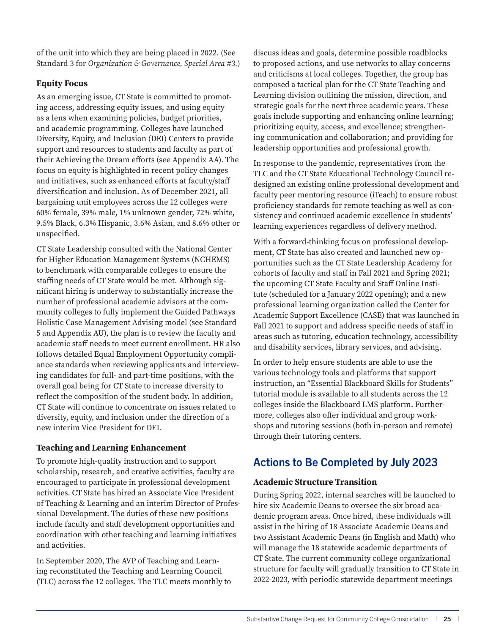of the unit into which they are being placed in 2022. (See Standard 3 for *Organization & Governance, Special Area #3.*)

#### **Equity Focus**

As an emerging issue, CT State is committed to promoting access, addressing equity issues, and using equity as a lens when examining policies, budget priorities, and academic programming. Colleges have launched Diversity, Equity, and Inclusion (DEI) Centers to provide support and resources to students and faculty as part of their Achieving the Dream efforts (see Appendix AA). The focus on equity is highlighted in recent policy changes and initiatives, such as enhanced efforts at faculty/staff diversification and inclusion. As of December 2021, all bargaining unit employees across the 12 colleges were 60% female, 39% male, 1% unknown gender, 72% white, 9.5% Black, 6.3% Hispanic, 3.6% Asian, and 8.6% other or unspecified.

CT State Leadership consulted with the National Center for Higher Education Management Systems (NCHEMS) to benchmark with comparable colleges to ensure the staffing needs of CT State would be met. Although significant hiring is underway to substantially increase the number of professional academic advisors at the community colleges to fully implement the Guided Pathways Holistic Case Management Advising model (see Standard 5 and Appendix AU), the plan is to review the faculty and academic staff needs to meet current enrollment. HR also follows detailed Equal Employment Opportunity compliance standards when reviewing applicants and interviewing candidates for full- and part-time positions, with the overall goal being for CT State to increase diversity to reflect the composition of the student body. In addition, CT State will continue to concentrate on issues related to diversity, equity, and inclusion under the direction of a new interim Vice President for DEI.

#### **Teaching and Learning Enhancement**

To promote high-quality instruction and to support scholarship, research, and creative activities, faculty are encouraged to participate in professional development activities. CT State has hired an Associate Vice President of Teaching & Learning and an interim Director of Professional Development. The duties of these new positions include faculty and staff development opportunities and coordination with other teaching and learning initiatives and activities.

In September 2020, The AVP of Teaching and Learning reconstituted the Teaching and Learning Council (TLC) across the 12 colleges. The TLC meets monthly to discuss ideas and goals, determine possible roadblocks to proposed actions, and use networks to allay concerns and criticisms at local colleges. Together, the group has composed a tactical plan for the CT State Teaching and Learning division outlining the mission, direction, and strategic goals for the next three academic years. These goals include supporting and enhancing online learning; prioritizing equity, access, and excellence; strengthening communication and collaboration; and providing for leadership opportunities and professional growth.

In response to the pandemic, representatives from the TLC and the CT State Educational Technology Council redesigned an existing online professional development and faculty peer mentoring resource (iTeach) to ensure robust proficiency standards for remote teaching as well as consistency and continued academic excellence in students' learning experiences regardless of delivery method.

With a forward-thinking focus on professional development, CT State has also created and launched new opportunities such as the CT State Leadership Academy for cohorts of faculty and staff in Fall 2021 and Spring 2021; the upcoming CT State Faculty and Staff Online Institute (scheduled for a January 2022 opening); and a new professional learning organization called the Center for Academic Support Excellence (CASE) that was launched in Fall 2021 to support and address specific needs of staff in areas such as tutoring, education technology, accessibility and disability services, library services, and advising.

In order to help ensure students are able to use the various technology tools and platforms that support instruction, an "Essential Blackboard Skills for Students" tutorial module is available to all students across the 12 colleges inside the Blackboard LMS platform. Furthermore, colleges also offer individual and group workshops and tutoring sessions (both in-person and remote) through their tutoring centers.

## Actions to Be Completed by July 2023

#### **Academic Structure Transition**

During Spring 2022, internal searches will be launched to hire six Academic Deans to oversee the six broad academic program areas. Once hired, these individuals will assist in the hiring of 18 Associate Academic Deans and two Assistant Academic Deans (in English and Math) who will manage the 18 statewide academic departments of CT State. The current community college organizational structure for faculty will gradually transition to CT State in 2022-2023, with periodic statewide department meetings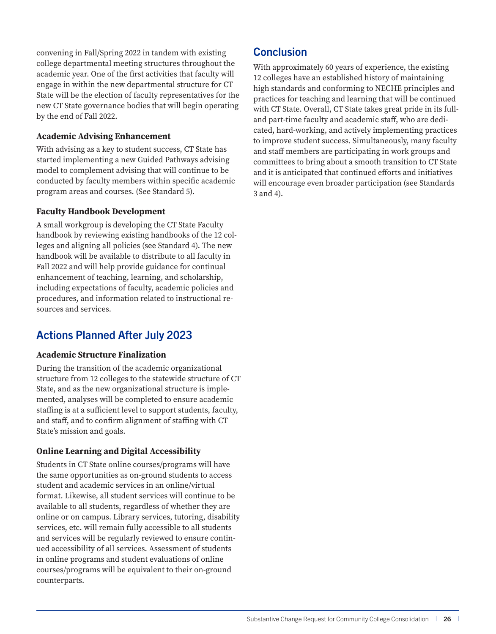convening in Fall/Spring 2022 in tandem with existing college departmental meeting structures throughout the academic year. One of the first activities that faculty will engage in within the new departmental structure for CT State will be the election of faculty representatives for the new CT State governance bodies that will begin operating by the end of Fall 2022.

#### **Academic Advising Enhancement**

With advising as a key to student success, CT State has started implementing a new Guided Pathways advising model to complement advising that will continue to be conducted by faculty members within specific academic program areas and courses. (See Standard 5).

#### **Faculty Handbook Development**

A small workgroup is developing the CT State Faculty handbook by reviewing existing handbooks of the 12 colleges and aligning all policies (see Standard 4). The new handbook will be available to distribute to all faculty in Fall 2022 and will help provide guidance for continual enhancement of teaching, learning, and scholarship, including expectations of faculty, academic policies and procedures, and information related to instructional resources and services.

## Actions Planned After July 2023

#### **Academic Structure Finalization**

During the transition of the academic organizational structure from 12 colleges to the statewide structure of CT State, and as the new organizational structure is implemented, analyses will be completed to ensure academic staffing is at a sufficient level to support students, faculty, and staff, and to confirm alignment of staffing with CT State's mission and goals.

#### **Online Learning and Digital Accessibility**

Students in CT State online courses/programs will have the same opportunities as on-ground students to access student and academic services in an online/virtual format. Likewise, all student services will continue to be available to all students, regardless of whether they are online or on campus. Library services, tutoring, disability services, etc. will remain fully accessible to all students and services will be regularly reviewed to ensure continued accessibility of all services. Assessment of students in online programs and student evaluations of online courses/programs will be equivalent to their on-ground counterparts.

## **Conclusion**

With approximately 60 years of experience, the existing 12 colleges have an established history of maintaining high standards and conforming to NECHE principles and practices for teaching and learning that will be continued with CT State. Overall, CT State takes great pride in its fulland part-time faculty and academic staff, who are dedicated, hard-working, and actively implementing practices to improve student success. Simultaneously, many faculty and staff members are participating in work groups and committees to bring about a smooth transition to CT State and it is anticipated that continued efforts and initiatives will encourage even broader participation (see Standards 3 and 4).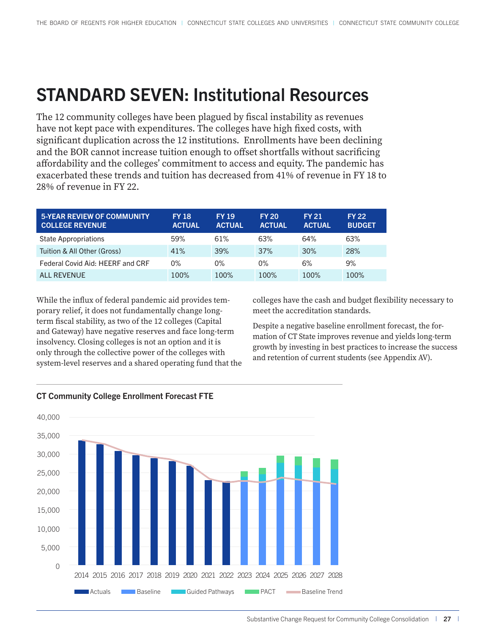## <span id="page-27-0"></span>STANDARD SEVEN: Institutional Resources

The 12 community colleges have been plagued by fiscal instability as revenues have not kept pace with expenditures. The colleges have high fixed costs, with significant duplication across the 12 institutions. Enrollments have been declining and the BOR cannot increase tuition enough to offset shortfalls without sacrificing affordability and the colleges' commitment to access and equity. The pandemic has exacerbated these trends and tuition has decreased from 41% of revenue in FY 18 to 28% of revenue in FY 22.

| <b>5-YEAR REVIEW OF COMMUNITY</b><br><b>COLLEGE REVENUE</b> | <b>FY 18</b><br><b>ACTUAL</b> | <b>FY 19</b><br><b>ACTUAL</b> | <b>FY 20</b><br><b>ACTUAL</b> | <b>FY 21</b><br><b>ACTUAL</b> | <b>FY 22</b><br><b>BUDGET</b> |
|-------------------------------------------------------------|-------------------------------|-------------------------------|-------------------------------|-------------------------------|-------------------------------|
| <b>State Appropriations</b>                                 | 59%                           | 61%                           | 63%                           | 64%                           | 63%                           |
| Tuition & All Other (Gross)                                 | 41%                           | 39%                           | 37%                           | 30%                           | 28%                           |
| Federal Covid Aid: HEERF and CRF                            | $0\%$                         | 0%                            | $0\%$                         | 6%                            | 9%                            |
| ALL REVENUE                                                 | 100%                          | 100%                          | 100%                          | 100%                          | 100%                          |

While the influx of federal pandemic aid provides temporary relief, it does not fundamentally change longterm fiscal stability, as two of the 12 colleges (Capital and Gateway) have negative reserves and face long-term insolvency. Closing colleges is not an option and it is only through the collective power of the colleges with system-level reserves and a shared operating fund that the colleges have the cash and budget flexibility necessary to meet the accreditation standards.

Despite a negative baseline enrollment forecast, the formation of CT State improves revenue and yields long-term growth by investing in best practices to increase the success and retention of current students (see Appendix AV).



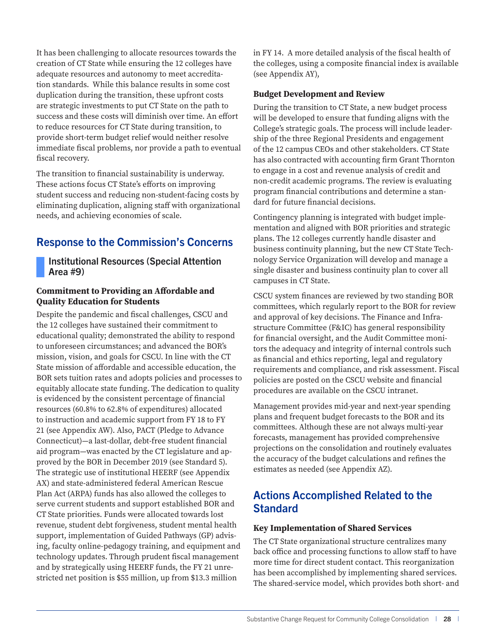<span id="page-28-0"></span>It has been challenging to allocate resources towards the creation of CT State while ensuring the 12 colleges have adequate resources and autonomy to meet accreditation standards. While this balance results in some cost duplication during the transition, these upfront costs are strategic investments to put CT State on the path to success and these costs will diminish over time. An effort to reduce resources for CT State during transition, to provide short-term budget relief would neither resolve immediate fiscal problems, nor provide a path to eventual fiscal recovery.

The transition to financial sustainability is underway. These actions focus CT State's efforts on improving student success and reducing non-student-facing costs by eliminating duplication, aligning staff with organizational needs, and achieving economies of scale.

## Response to the Commission's Concerns

#### Institutional Resources (Special Attention Area #9)

#### **Commitment to Providing an Affordable and Quality Education for Students**

Despite the pandemic and fiscal challenges, CSCU and the 12 colleges have sustained their commitment to educational quality; demonstrated the ability to respond to unforeseen circumstances; and advanced the BOR's mission, vision, and goals for CSCU. In line with the CT State mission of affordable and accessible education, the BOR sets tuition rates and adopts policies and processes to equitably allocate state funding. The dedication to quality is evidenced by the consistent percentage of financial resources (60.8% to 62.8% of expenditures) allocated to instruction and academic support from FY 18 to FY 21 (see Appendix AW). Also, PACT (Pledge to Advance Connecticut)—a last-dollar, debt-free student financial aid program—was enacted by the CT legislature and approved by the BOR in December 2019 (see Standard 5). The strategic use of institutional HEERF (see Appendix AX) and state-administered federal American Rescue Plan Act (ARPA) funds has also allowed the colleges to serve current students and support established BOR and CT State priorities. Funds were allocated towards lost revenue, student debt forgiveness, student mental health support, implementation of Guided Pathways (GP) advising, faculty online-pedagogy training, and equipment and technology updates. Through prudent fiscal management and by strategically using HEERF funds, the FY 21 unrestricted net position is \$55 million, up from \$13.3 million

in FY 14. A more detailed analysis of the fiscal health of the colleges, using a composite financial index is available (see Appendix AY),

#### **Budget Development and Review**

During the transition to CT State, a new budget process will be developed to ensure that funding aligns with the College's strategic goals. The process will include leadership of the three Regional Presidents and engagement of the 12 campus CEOs and other stakeholders. CT State has also contracted with accounting firm Grant Thornton to engage in a cost and revenue analysis of credit and non-credit academic programs. The review is evaluating program financial contributions and determine a standard for future financial decisions.

Contingency planning is integrated with budget implementation and aligned with BOR priorities and strategic plans. The 12 colleges currently handle disaster and business continuity planning, but the new CT State Technology Service Organization will develop and manage a single disaster and business continuity plan to cover all campuses in CT State.

CSCU system finances are reviewed by two standing BOR committees, which regularly report to the BOR for review and approval of key decisions. The Finance and Infrastructure Committee (F&IC) has general responsibility for financial oversight, and the Audit Committee monitors the adequacy and integrity of internal controls such as financial and ethics reporting, legal and regulatory requirements and compliance, and risk assessment. Fiscal policies are posted on the CSCU website and financial procedures are available on the CSCU intranet.

Management provides mid-year and next-year spending plans and frequent budget forecasts to the BOR and its committees. Although these are not always multi-year forecasts, management has provided comprehensive projections on the consolidation and routinely evaluates the accuracy of the budget calculations and refines the estimates as needed (see Appendix AZ).

## Actions Accomplished Related to the **Standard**

#### **Key Implementation of Shared Services**

The CT State organizational structure centralizes many back office and processing functions to allow staff to have more time for direct student contact. This reorganization has been accomplished by implementing shared services. The shared-service model, which provides both short- and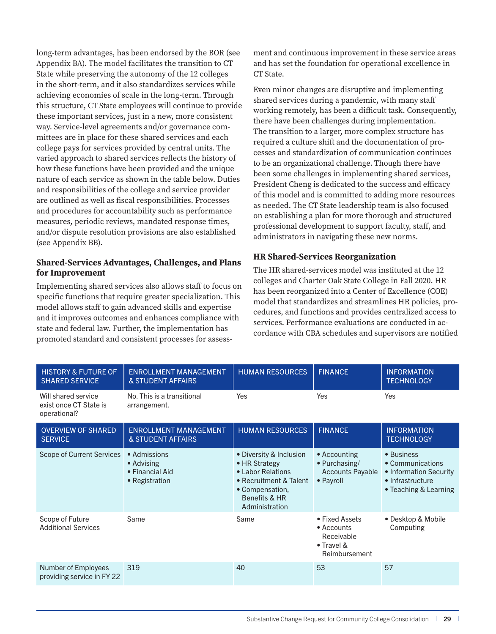long-term advantages, has been endorsed by the BOR (see Appendix BA). The model facilitates the transition to CT State while preserving the autonomy of the 12 colleges in the short-term, and it also standardizes services while achieving economies of scale in the long-term. Through this structure, CT State employees will continue to provide these important services, just in a new, more consistent way. Service-level agreements and/or governance committees are in place for these shared services and each college pays for services provided by central units. The varied approach to shared services reflects the history of how these functions have been provided and the unique nature of each service as shown in the table below. Duties and responsibilities of the college and service provider are outlined as well as fiscal responsibilities. Processes and procedures for accountability such as performance measures, periodic reviews, mandated response times, and/or dispute resolution provisions are also established (see Appendix BB).

#### **Shared-Services Advantages, Challenges, and Plans for Improvement**

Implementing shared services also allows staff to focus on specific functions that require greater specialization. This model allows staff to gain advanced skills and expertise and it improves outcomes and enhances compliance with state and federal law. Further, the implementation has promoted standard and consistent processes for assessment and continuous improvement in these service areas and has set the foundation for operational excellence in CT State.

Even minor changes are disruptive and implementing shared services during a pandemic, with many staff working remotely, has been a difficult task. Consequently, there have been challenges during implementation. The transition to a larger, more complex structure has required a culture shift and the documentation of processes and standardization of communication continues to be an organizational challenge. Though there have been some challenges in implementing shared services, President Cheng is dedicated to the success and efficacy of this model and is committed to adding more resources as needed. The CT State leadership team is also focused on establishing a plan for more thorough and structured professional development to support faculty, staff, and administrators in navigating these new norms.

#### **HR Shared-Services Reorganization**

The HR shared-services model was instituted at the 12 colleges and Charter Oak State College in Fall 2020. HR has been reorganized into a Center of Excellence (COE) model that standardizes and streamlines HR policies, procedures, and functions and provides centralized access to services. Performance evaluations are conducted in accordance with CBA schedules and supervisors are notified

| <b>HISTORY &amp; FUTURE OF</b><br><b>SHARED SERVICE</b>       | <b>ENROLLMENT MANAGEMENT</b><br>& STUDENT AFFAIRS               | <b>HUMAN RESOURCES</b>                                                                                                                        | <b>FINANCE</b>                                                            | <b>INFORMATION</b><br><b>TECHNOLOGY</b>                                                               |
|---------------------------------------------------------------|-----------------------------------------------------------------|-----------------------------------------------------------------------------------------------------------------------------------------------|---------------------------------------------------------------------------|-------------------------------------------------------------------------------------------------------|
| Will shared service<br>exist once CT State is<br>operational? | No. This is a transitional<br>arrangement.                      | <b>Yes</b>                                                                                                                                    | Yes                                                                       | Yes                                                                                                   |
| <b>OVERVIEW OF SHARED</b><br><b>SERVICE</b>                   | <b>ENROLLMENT MANAGEMENT</b><br>& STUDENT AFFAIRS               | <b>HUMAN RESOURCES</b>                                                                                                                        | <b>FINANCE</b>                                                            | <b>INFORMATION</b><br><b>TECHNOLOGY</b>                                                               |
| Scope of Current Services                                     | • Admissions<br>• Advising<br>• Financial Aid<br>• Registration | • Diversity & Inclusion<br>• HR Strategy<br>• Labor Relations<br>• Recruitment & Talent<br>• Compensation,<br>Benefits & HR<br>Administration | • Accounting<br>• Purchasing/<br><b>Accounts Payable</b><br>• Payroll     | • Business<br>• Communications<br>• Information Security<br>• Infrastructure<br>• Teaching & Learning |
| Scope of Future<br><b>Additional Services</b>                 | Same                                                            | Same                                                                                                                                          | • Fixed Assets<br>• Accounts<br>Receivable<br>• Travel &<br>Reimbursement | • Desktop & Mobile<br>Computing                                                                       |
| Number of Employees<br>providing service in FY 22             | 319                                                             | 40                                                                                                                                            | 53                                                                        | 57                                                                                                    |
|                                                               |                                                                 |                                                                                                                                               |                                                                           |                                                                                                       |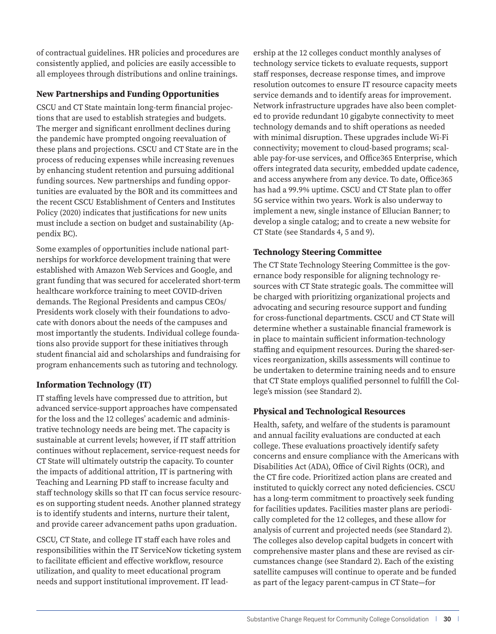of contractual guidelines. HR policies and procedures are consistently applied, and policies are easily accessible to all employees through distributions and online trainings.

#### **New Partnerships and Funding Opportunities**

CSCU and CT State maintain long-term financial projections that are used to establish strategies and budgets. The merger and significant enrollment declines during the pandemic have prompted ongoing reevaluation of these plans and projections. CSCU and CT State are in the process of reducing expenses while increasing revenues by enhancing student retention and pursuing additional funding sources. New partnerships and funding opportunities are evaluated by the BOR and its committees and the recent CSCU Establishment of Centers and Institutes Policy (2020) indicates that justifications for new units must include a section on budget and sustainability (Appendix BC).

Some examples of opportunities include national partnerships for workforce development training that were established with Amazon Web Services and Google, and grant funding that was secured for accelerated short-term healthcare workforce training to meet COVID-driven demands. The Regional Presidents and campus CEOs/ Presidents work closely with their foundations to advocate with donors about the needs of the campuses and most importantly the students. Individual college foundations also provide support for these initiatives through student financial aid and scholarships and fundraising for program enhancements such as tutoring and technology.

#### **Information Technology (IT)**

IT staffing levels have compressed due to attrition, but advanced service-support approaches have compensated for the loss and the 12 colleges' academic and administrative technology needs are being met. The capacity is sustainable at current levels; however, if IT staff attrition continues without replacement, service-request needs for CT State will ultimately outstrip the capacity. To counter the impacts of additional attrition, IT is partnering with Teaching and Learning PD staff to increase faculty and staff technology skills so that IT can focus service resources on supporting student needs. Another planned strategy is to identify students and interns, nurture their talent, and provide career advancement paths upon graduation.

CSCU, CT State, and college IT staff each have roles and responsibilities within the IT ServiceNow ticketing system to facilitate efficient and effective workflow, resource utilization, and quality to meet educational program needs and support institutional improvement. IT leadership at the 12 colleges conduct monthly analyses of technology service tickets to evaluate requests, support staff responses, decrease response times, and improve resolution outcomes to ensure IT resource capacity meets service demands and to identify areas for improvement. Network infrastructure upgrades have also been completed to provide redundant 10 gigabyte connectivity to meet technology demands and to shift operations as needed with minimal disruption. These upgrades include Wi-Fi connectivity; movement to cloud-based programs; scalable pay-for-use services, and Office365 Enterprise, which offers integrated data security, embedded update cadence, and access anywhere from any device. To date, Office365 has had a 99.9% uptime. CSCU and CT State plan to offer 5G service within two years. Work is also underway to implement a new, single instance of Ellucian Banner; to develop a single catalog; and to create a new website for CT State (see Standards 4, 5 and 9).

#### **Technology Steering Committee**

The CT State Technology Steering Committee is the governance body responsible for aligning technology resources with CT State strategic goals. The committee will be charged with prioritizing organizational projects and advocating and securing resource support and funding for cross-functional departments. CSCU and CT State will determine whether a sustainable financial framework is in place to maintain sufficient information-technology staffing and equipment resources. During the shared-services reorganization, skills assessments will continue to be undertaken to determine training needs and to ensure that CT State employs qualified personnel to fulfill the College's mission (see Standard 2).

#### **Physical and Technological Resources**

Health, safety, and welfare of the students is paramount and annual facility evaluations are conducted at each college. These evaluations proactively identify safety concerns and ensure compliance with the Americans with Disabilities Act (ADA), Office of Civil Rights (OCR), and the CT fire code. Prioritized action plans are created and instituted to quickly correct any noted deficiencies. CSCU has a long-term commitment to proactively seek funding for facilities updates. Facilities master plans are periodically completed for the 12 colleges, and these allow for analysis of current and projected needs (see Standard 2). The colleges also develop capital budgets in concert with comprehensive master plans and these are revised as circumstances change (see Standard 2). Each of the existing satellite campuses will continue to operate and be funded as part of the legacy parent-campus in CT State—for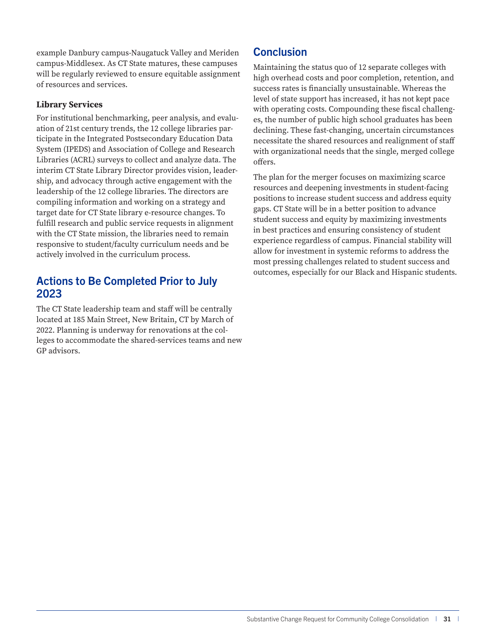example Danbury campus-Naugatuck Valley and Meriden campus-Middlesex. As CT State matures, these campuses will be regularly reviewed to ensure equitable assignment of resources and services.

#### **Library Services**

For institutional benchmarking, peer analysis, and evaluation of 21st century trends, the 12 college libraries participate in the Integrated Postsecondary Education Data System (IPEDS) and Association of College and Research Libraries (ACRL) surveys to collect and analyze data. The interim CT State Library Director provides vision, leadership, and advocacy through active engagement with the leadership of the 12 college libraries. The directors are compiling information and working on a strategy and target date for CT State library e-resource changes. To fulfill research and public service requests in alignment with the CT State mission, the libraries need to remain responsive to student/faculty curriculum needs and be actively involved in the curriculum process.

### Actions to Be Completed Prior to July 2023

The CT State leadership team and staff will be centrally located at 185 Main Street, New Britain, CT by March of 2022. Planning is underway for renovations at the colleges to accommodate the shared-services teams and new GP advisors.

## **Conclusion**

Maintaining the status quo of 12 separate colleges with high overhead costs and poor completion, retention, and success rates is financially unsustainable. Whereas the level of state support has increased, it has not kept pace with operating costs. Compounding these fiscal challenges, the number of public high school graduates has been declining. These fast-changing, uncertain circumstances necessitate the shared resources and realignment of staff with organizational needs that the single, merged college offers.

The plan for the merger focuses on maximizing scarce resources and deepening investments in student-facing positions to increase student success and address equity gaps. CT State will be in a better position to advance student success and equity by maximizing investments in best practices and ensuring consistency of student experience regardless of campus. Financial stability will allow for investment in systemic reforms to address the most pressing challenges related to student success and outcomes, especially for our Black and Hispanic students.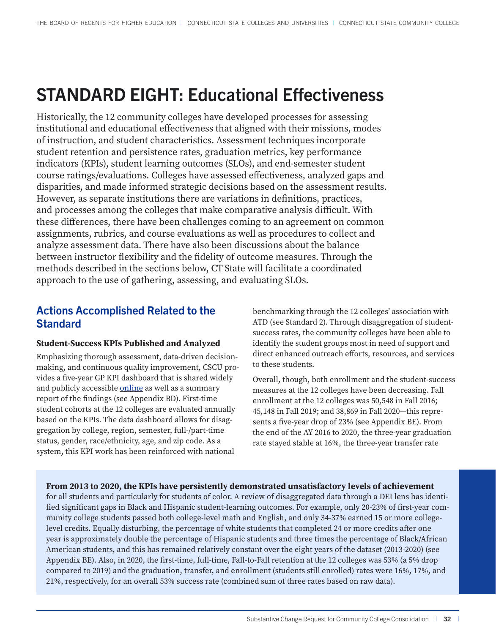## <span id="page-32-0"></span>STANDARD EIGHT: Educational Effectiveness

Historically, the 12 community colleges have developed processes for assessing institutional and educational effectiveness that aligned with their missions, modes of instruction, and student characteristics. Assessment techniques incorporate student retention and persistence rates, graduation metrics, key performance indicators (KPIs), student learning outcomes (SLOs), and end-semester student course ratings/evaluations. Colleges have assessed effectiveness, analyzed gaps and disparities, and made informed strategic decisions based on the assessment results. However, as separate institutions there are variations in definitions, practices, and processes among the colleges that make comparative analysis difficult. With these differences, there have been challenges coming to an agreement on common assignments, rubrics, and course evaluations as well as procedures to collect and analyze assessment data. There have also been discussions about the balance between instructor flexibility and the fidelity of outcome measures. Through the methods described in the sections below, CT State will facilitate a coordinated approach to the use of gathering, assessing, and evaluating SLOs.

## Actions Accomplished Related to the **Standard**

#### **Student-Success KPIs Published and Analyzed**

Emphasizing thorough assessment, data-driven decisionmaking, and continuous quality improvement, CSCU provides a five-year GP KPI dashboard that is shared widely and publicly accessible [online](https://www.ct.edu/gp/kpi) as well as a summary report of the findings (see Appendix BD). First-time student cohorts at the 12 colleges are evaluated annually based on the KPIs. The data dashboard allows for disaggregation by college, region, semester, full-/part-time status, gender, race/ethnicity, age, and zip code. As a system, this KPI work has been reinforced with national

benchmarking through the 12 colleges' association with ATD (see Standard 2). Through disaggregation of studentsuccess rates, the community colleges have been able to identify the student groups most in need of support and direct enhanced outreach efforts, resources, and services to these students.

Overall, though, both enrollment and the student-success measures at the 12 colleges have been decreasing. Fall enrollment at the 12 colleges was 50,548 in Fall 2016; 45,148 in Fall 2019; and 38,869 in Fall 2020—this represents a five-year drop of 23% (see Appendix BE). From the end of the AY 2016 to 2020, the three-year graduation rate stayed stable at 16%, the three-year transfer rate

#### **From 2013 to 2020, the KPIs have persistently demonstrated unsatisfactory levels of achievement**

for all students and particularly for students of color. A review of disaggregated data through a DEI lens has identified significant gaps in Black and Hispanic student-learning outcomes. For example, only 20-23% of first-year community college students passed both college-level math and English, and only 34-37% earned 15 or more collegelevel credits. Equally disturbing, the percentage of white students that completed 24 or more credits after one year is approximately double the percentage of Hispanic students and three times the percentage of Black/African American students, and this has remained relatively constant over the eight years of the dataset (2013-2020) (see Appendix BE). Also, in 2020, the first-time, full-time, Fall-to-Fall retention at the 12 colleges was 53% (a 5% drop compared to 2019) and the graduation, transfer, and enrollment (students still enrolled) rates were 16%, 17%, and 21%, respectively, for an overall 53% success rate (combined sum of three rates based on raw data).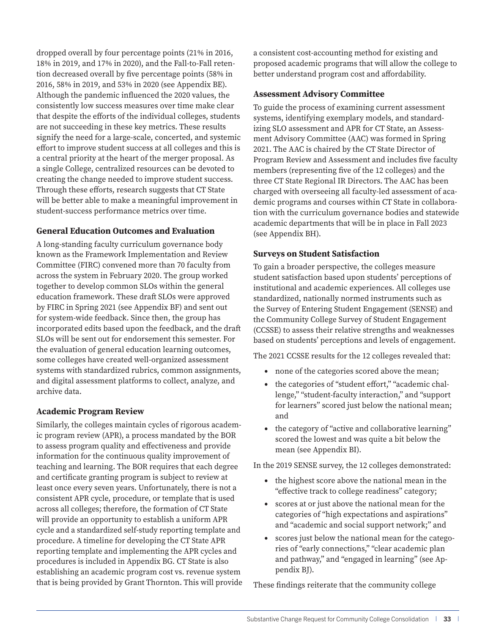dropped overall by four percentage points (21% in 2016, 18% in 2019, and 17% in 2020), and the Fall-to-Fall retention decreased overall by five percentage points (58% in 2016, 58% in 2019, and 53% in 2020 (see Appendix BE). Although the pandemic influenced the 2020 values, the consistently low success measures over time make clear that despite the efforts of the individual colleges, students are not succeeding in these key metrics. These results signify the need for a large-scale, concerted, and systemic effort to improve student success at all colleges and this is a central priority at the heart of the merger proposal. As a single College, centralized resources can be devoted to creating the change needed to improve student success. Through these efforts, research suggests that CT State will be better able to make a meaningful improvement in student-success performance metrics over time.

#### **General Education Outcomes and Evaluation**

A long-standing faculty curriculum governance body known as the Framework Implementation and Review Committee (FIRC) convened more than 70 faculty from across the system in February 2020. The group worked together to develop common SLOs within the general education framework. These draft SLOs were approved by FIRC in Spring 2021 (see Appendix BF) and sent out for system-wide feedback. Since then, the group has incorporated edits based upon the feedback, and the draft SLOs will be sent out for endorsement this semester. For the evaluation of general education learning outcomes, some colleges have created well-organized assessment systems with standardized rubrics, common assignments, and digital assessment platforms to collect, analyze, and archive data.

#### **Academic Program Review**

Similarly, the colleges maintain cycles of rigorous academic program review (APR), a process mandated by the BOR to assess program quality and effectiveness and provide information for the continuous quality improvement of teaching and learning. The BOR requires that each degree and certificate granting program is subject to review at least once every seven years. Unfortunately, there is not a consistent APR cycle, procedure, or template that is used across all colleges; therefore, the formation of CT State will provide an opportunity to establish a uniform APR cycle and a standardized self-study reporting template and procedure. A timeline for developing the CT State APR reporting template and implementing the APR cycles and procedures is included in Appendix BG. CT State is also establishing an academic program cost vs. revenue system that is being provided by Grant Thornton. This will provide a consistent cost-accounting method for existing and proposed academic programs that will allow the college to better understand program cost and affordability.

#### **Assessment Advisory Committee**

To guide the process of examining current assessment systems, identifying exemplary models, and standardizing SLO assessment and APR for CT State, an Assessment Advisory Committee (AAC) was formed in Spring 2021. The AAC is chaired by the CT State Director of Program Review and Assessment and includes five faculty members (representing five of the 12 colleges) and the three CT State Regional IR Directors. The AAC has been charged with overseeing all faculty-led assessment of academic programs and courses within CT State in collaboration with the curriculum governance bodies and statewide academic departments that will be in place in Fall 2023 (see Appendix BH).

#### **Surveys on Student Satisfaction**

To gain a broader perspective, the colleges measure student satisfaction based upon students' perceptions of institutional and academic experiences. All colleges use standardized, nationally normed instruments such as the Survey of Entering Student Engagement (SENSE) and the Community College Survey of Student Engagement (CCSSE) to assess their relative strengths and weaknesses based on students' perceptions and levels of engagement.

The 2021 CCSSE results for the 12 colleges revealed that:

- none of the categories scored above the mean;
- the categories of "student effort," "academic challenge," "student-faculty interaction," and "support for learners" scored just below the national mean; and
- the category of "active and collaborative learning" scored the lowest and was quite a bit below the mean (see Appendix BI).

In the 2019 SENSE survey, the 12 colleges demonstrated:

- the highest score above the national mean in the "effective track to college readiness" category;
- scores at or just above the national mean for the categories of "high expectations and aspirations" and "academic and social support network;" and
- scores just below the national mean for the categories of "early connections," "clear academic plan and pathway," and "engaged in learning" (see Appendix BJ).

These findings reiterate that the community college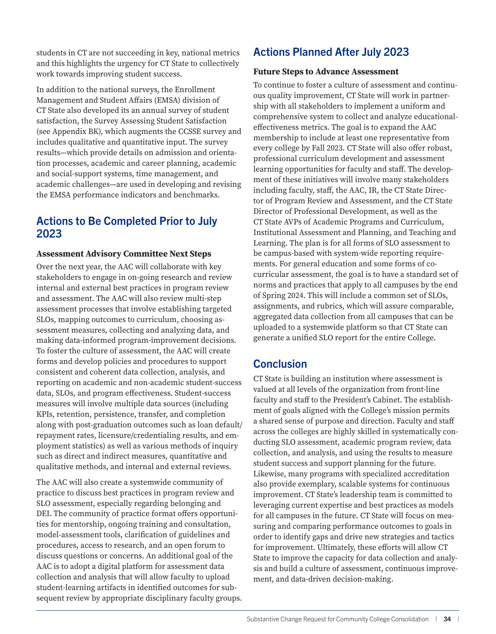students in CT are not succeeding in key, national metrics and this highlights the urgency for CT State to collectively work towards improving student success.

In addition to the national surveys, the Enrollment Management and Student Affairs (EMSA) division of CT State also developed its an annual survey of student satisfaction, the Survey Assessing Student Satisfaction (see Appendix BK), which augments the CCSSE survey and includes qualitative and quantitative input. The survey results—which provide details on admission and orientation processes, academic and career planning, academic and social-support systems, time management, and academic challenges—are used in developing and revising the EMSA performance indicators and benchmarks.

## Actions to Be Completed Prior to July 2023

#### **Assessment Advisory Committee Next Steps**

Over the next year, the AAC will collaborate with key stakeholders to engage in on-going research and review internal and external best practices in program review and assessment. The AAC will also review multi-step assessment processes that involve establishing targeted SLOs, mapping outcomes to curriculum, choosing assessment measures, collecting and analyzing data, and making data-informed program-improvement decisions. To foster the culture of assessment, the AAC will create forms and develop policies and procedures to support consistent and coherent data collection, analysis, and reporting on academic and non-academic student-success data, SLOs, and program effectiveness. Student-success measures will involve multiple data sources (including KPIs, retention, persistence, transfer, and completion along with post-graduation outcomes such as loan default/ repayment rates, licensure/credentialing results, and employment statistics) as well as various methods of inquiry such as direct and indirect measures, quantitative and qualitative methods, and internal and external reviews.

The AAC will also create a systemwide community of practice to discuss best practices in program review and SLO assessment, especially regarding belonging and DEI. The community of practice format offers opportunities for mentorship, ongoing training and consultation, model-assessment tools, clarification of guidelines and procedures, access to research, and an open forum to discuss questions or concerns. An additional goal of the AAC is to adopt a digital platform for assessment data collection and analysis that will allow faculty to upload student-learning artifacts in identified outcomes for subsequent review by appropriate disciplinary faculty groups.

## Actions Planned After July 2023

#### **Future Steps to Advance Assessment**

To continue to foster a culture of assessment and continuous quality improvement, CT State will work in partnership with all stakeholders to implement a uniform and comprehensive system to collect and analyze educationaleffectiveness metrics. The goal is to expand the AAC membership to include at least one representative from every college by Fall 2023. CT State will also offer robust, professional curriculum development and assessment learning opportunities for faculty and staff. The development of these initiatives will involve many stakeholders including faculty, staff, the AAC, IR, the CT State Director of Program Review and Assessment, and the CT State Director of Professional Development, as well as the CT State AVPs of Academic Programs and Curriculum, Institutional Assessment and Planning, and Teaching and Learning. The plan is for all forms of SLO assessment to be campus-based with system-wide reporting requirements. For general education and some forms of cocurricular assessment, the goal is to have a standard set of norms and practices that apply to all campuses by the end of Spring 2024. This will include a common set of SLOs, assignments, and rubrics, which will assure comparable, aggregated data collection from all campuses that can be uploaded to a systemwide platform so that CT State can generate a unified SLO report for the entire College.

## **Conclusion**

CT State is building an institution where assessment is valued at all levels of the organization from front-line faculty and staff to the President's Cabinet. The establishment of goals aligned with the College's mission permits a shared sense of purpose and direction. Faculty and staff across the colleges are highly skilled in systematically conducting SLO assessment, academic program review, data collection, and analysis, and using the results to measure student success and support planning for the future. Likewise, many programs with specialized accreditation also provide exemplary, scalable systems for continuous improvement. CT State's leadership team is committed to leveraging current expertise and best practices as models for all campuses in the future. CT State will focus on measuring and comparing performance outcomes to goals in order to identify gaps and drive new strategies and tactics for improvement. Ultimately, these efforts will allow CT State to improve the capacity for data collection and analysis and build a culture of assessment, continuous improvement, and data-driven decision-making.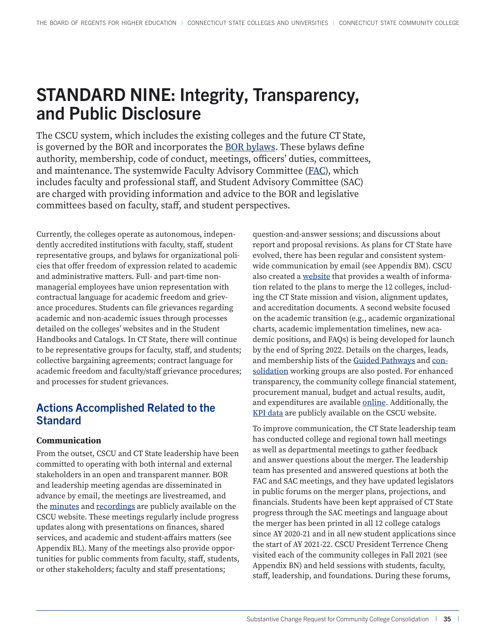## <span id="page-35-0"></span>STANDARD NINE: Integrity, Transparency, and Public Disclosure

The CSCU system, which includes the existing colleges and the future CT State, is governed by the BOR and incorporates the **BOR bylaws**. These bylaws define authority, membership, code of conduct, meetings, officers' duties, committees, and maintenance. The systemwide Faculty Advisory Committee ([FAC](https://www.ct.edu/faculty/fac)), which includes faculty and professional staff, and Student Advisory Committee (SAC) are charged with providing information and advice to the BOR and legislative committees based on faculty, staff, and student perspectives.

Currently, the colleges operate as autonomous, independently accredited institutions with faculty, staff, student representative groups, and bylaws for organizational policies that offer freedom of expression related to academic and administrative matters. Full- and part-time nonmanagerial employees have union representation with contractual language for academic freedom and grievance procedures. Students can file grievances regarding academic and non-academic issues through processes detailed on the colleges' websites and in the Student Handbooks and Catalogs. In CT State, there will continue to be representative groups for faculty, staff, and students; collective bargaining agreements; contract language for academic freedom and faculty/staff grievance procedures; and processes for student grievances.

## Actions Accomplished Related to the **Standard**

#### **Communication**

From the outset, CSCU and CT State leadership have been committed to operating with both internal and external stakeholders in an open and transparent manner. BOR and leadership meeting agendas are disseminated in advance by email, the meetings are livestreamed, and the [minutes](https://www.ct.edu/regents/minutes) and [recordings](https://www.youtube.com/user/ConnSCU/videos) are publicly available on the CSCU website. These meetings regularly include progress updates along with presentations on finances, shared services, and academic and student-affairs matters (see Appendix BL). Many of the meetings also provide opportunities for public comments from faculty, staff, students, or other stakeholders; faculty and staff presentations;

question-and-answer sessions; and discussions about report and proposal revisions. As plans for CT State have evolved, there has been regular and consistent systemwide communication by email (see Appendix BM). CSCU also created a [website](https://www.ct.edu/sf) that provides a wealth of information related to the plans to merge the 12 colleges, including the CT State mission and vision, alignment updates, and accreditation documents. A second website focused on the academic transition (e.g., academic organizational charts, academic implementation timelines, new academic positions, and FAQs) is being developed for launch by the end of Spring 2022. Details on the charges, leads, and membership lists of the [Guided Pathways](https://www.ct.edu/gp) and [con](https://www.ct.edu/consolidation)[solidation](https://www.ct.edu/consolidation) working groups are also posted. For enhanced transparency, the community college financial statement, procurement manual, budget and actual results, audit, and expenditures are available [online](https://www.ct.edu/finance#documents). Additionally, the [KPI data](https://www.ct.edu/gp/kpi) are publicly available on the CSCU website.

To improve communication, the CT State leadership team has conducted college and regional town hall meetings as well as departmental meetings to gather feedback and answer questions about the merger. The leadership team has presented and answered questions at both the FAC and SAC meetings, and they have updated legislators in public forums on the merger plans, projections, and financials. Students have been kept appraised of CT State progress through the SAC meetings and language about the merger has been printed in all 12 college catalogs since AY 2020-21 and in all new student applications since the start of AY 2021-22. CSCU President Terrence Cheng visited each of the community colleges in Fall 2021 (see Appendix BN) and held sessions with students, faculty, staff, leadership, and foundations. During these forums,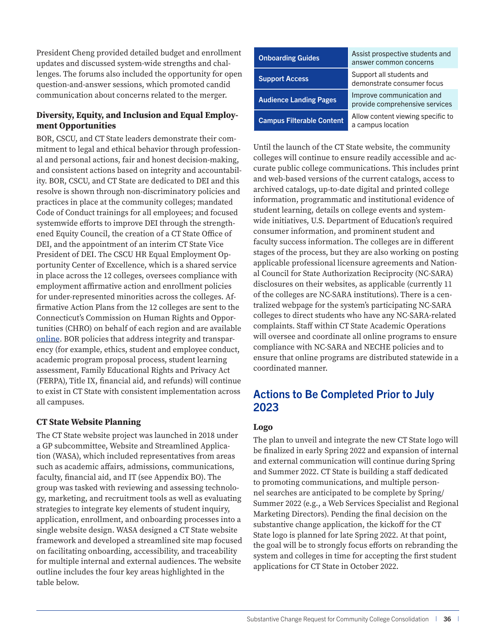President Cheng provided detailed budget and enrollment updates and discussed system-wide strengths and challenges. The forums also included the opportunity for open question-and-answer sessions, which promoted candid communication about concerns related to the merger.

#### **Diversity, Equity, and Inclusion and Equal Employment Opportunities**

BOR, CSCU, and CT State leaders demonstrate their commitment to legal and ethical behavior through professional and personal actions, fair and honest decision-making, and consistent actions based on integrity and accountability. BOR, CSCU, and CT State are dedicated to DEI and this resolve is shown through non-discriminatory policies and practices in place at the community colleges; mandated Code of Conduct trainings for all employees; and focused systemwide efforts to improve DEI through the strengthened Equity Council, the creation of a CT State Office of DEI, and the appointment of an interim CT State Vice President of DEI. The CSCU HR Equal Employment Opportunity Center of Excellence, which is a shared service in place across the 12 colleges, oversees compliance with employment affirmative action and enrollment policies for under-represented minorities across the colleges. Affirmative Action Plans from the 12 colleges are sent to the Connecticut's Commission on Human Rights and Opportunities (CHRO) on behalf of each region and are available [online.](https://www.ct.edu/hr/diversity) BOR policies that address integrity and transparency (for example, ethics, student and employee conduct, academic program proposal process, student learning assessment, Family Educational Rights and Privacy Act (FERPA), Title IX, financial aid, and refunds) will continue to exist in CT State with consistent implementation across all campuses.

#### **CT State Website Planning**

The CT State website project was launched in 2018 under a GP subcommittee, Website and Streamlined Application (WASA), which included representatives from areas such as academic affairs, admissions, communications, faculty, financial aid, and IT (see Appendix BO). The group was tasked with reviewing and assessing technology, marketing, and recruitment tools as well as evaluating strategies to integrate key elements of student inquiry, application, enrollment, and onboarding processes into a single website design. WASA designed a CT State website framework and developed a streamlined site map focused on facilitating onboarding, accessibility, and traceability for multiple internal and external audiences. The website outline includes the four key areas highlighted in the table below.

| <b>Onboarding Guides</b>         | Assist prospective students and<br>answer common concerns   |
|----------------------------------|-------------------------------------------------------------|
| <b>Support Access</b>            | Support all students and<br>demonstrate consumer focus      |
| <b>Audience Landing Pages</b>    | Improve communication and<br>provide comprehensive services |
| <b>Campus Filterable Content</b> | Allow content viewing specific to<br>a campus location      |

Until the launch of the CT State website, the community colleges will continue to ensure readily accessible and accurate public college communications. This includes print and web-based versions of the current catalogs, access to archived catalogs, up-to-date digital and printed college information, programmatic and institutional evidence of student learning, details on college events and systemwide initiatives, U.S. Department of Education's required consumer information, and prominent student and faculty success information. The colleges are in different stages of the process, but they are also working on posting applicable professional licensure agreements and National Council for State Authorization Reciprocity (NC-SARA) disclosures on their websites, as applicable (currently 11 of the colleges are NC-SARA institutions). There is a centralized webpage for the system's participating NC-SARA colleges to direct students who have any NC-SARA-related complaints. Staff within CT State Academic Operations will oversee and coordinate all online programs to ensure compliance with NC-SARA and NECHE policies and to ensure that online programs are distributed statewide in a coordinated manner.

## Actions to Be Completed Prior to July 2023

#### **Logo**

The plan to unveil and integrate the new CT State logo will be finalized in early Spring 2022 and expansion of internal and external communication will continue during Spring and Summer 2022. CT State is building a staff dedicated to promoting communications, and multiple personnel searches are anticipated to be complete by Spring/ Summer 2022 (e.g., a Web Services Specialist and Regional Marketing Directors). Pending the final decision on the substantive change application, the kickoff for the CT State logo is planned for late Spring 2022. At that point, the goal will be to strongly focus efforts on rebranding the system and colleges in time for accepting the first student applications for CT State in October 2022.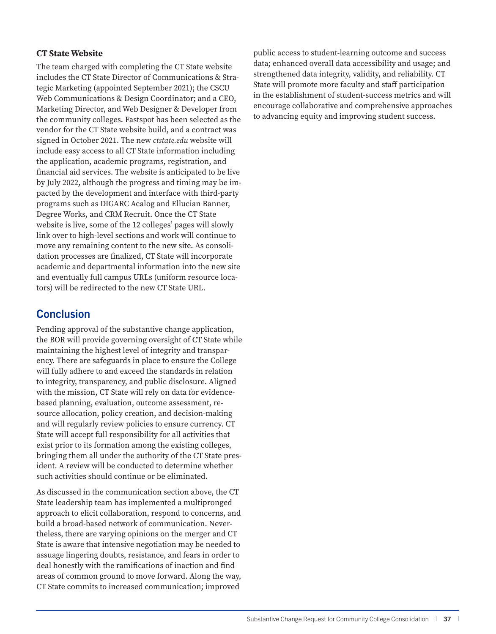#### **CT State Website**

The team charged with completing the CT State website includes the CT State Director of Communications & Strategic Marketing (appointed September 2021); the CSCU Web Communications & Design Coordinator; and a CEO, Marketing Director, and Web Designer & Developer from the community colleges. Fastspot has been selected as the vendor for the CT State website build, and a contract was signed in October 2021. The new *ctstate.edu* website will include easy access to all CT State information including the application, academic programs, registration, and financial aid services. The website is anticipated to be live by July 2022, although the progress and timing may be impacted by the development and interface with third-party programs such as DIGARC Acalog and Ellucian Banner, Degree Works, and CRM Recruit. Once the CT State website is live, some of the 12 colleges' pages will slowly link over to high-level sections and work will continue to move any remaining content to the new site. As consolidation processes are finalized, CT State will incorporate academic and departmental information into the new site and eventually full campus URLs (uniform resource locators) will be redirected to the new CT State URL.

### **Conclusion**

Pending approval of the substantive change application, the BOR will provide governing oversight of CT State while maintaining the highest level of integrity and transparency. There are safeguards in place to ensure the College will fully adhere to and exceed the standards in relation to integrity, transparency, and public disclosure. Aligned with the mission, CT State will rely on data for evidencebased planning, evaluation, outcome assessment, resource allocation, policy creation, and decision-making and will regularly review policies to ensure currency. CT State will accept full responsibility for all activities that exist prior to its formation among the existing colleges, bringing them all under the authority of the CT State president. A review will be conducted to determine whether such activities should continue or be eliminated.

As discussed in the communication section above, the CT State leadership team has implemented a multipronged approach to elicit collaboration, respond to concerns, and build a broad-based network of communication. Nevertheless, there are varying opinions on the merger and CT State is aware that intensive negotiation may be needed to assuage lingering doubts, resistance, and fears in order to deal honestly with the ramifications of inaction and find areas of common ground to move forward. Along the way, CT State commits to increased communication; improved

public access to student-learning outcome and success data; enhanced overall data accessibility and usage; and strengthened data integrity, validity, and reliability. CT State will promote more faculty and staff participation in the establishment of student-success metrics and will encourage collaborative and comprehensive approaches to advancing equity and improving student success.